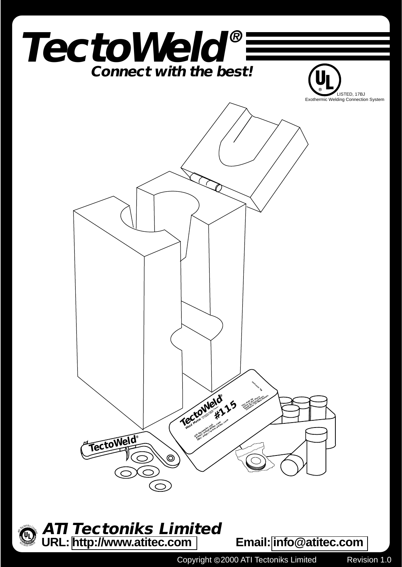

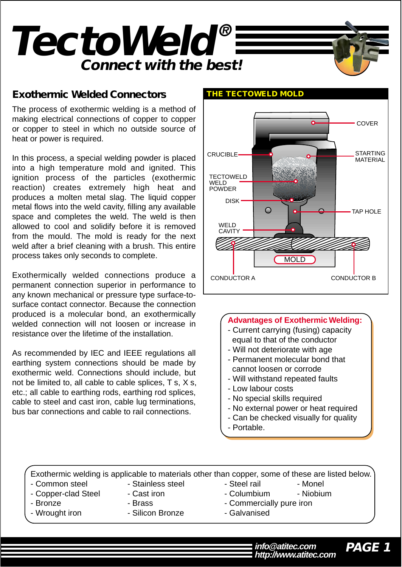

### **Exothermic Welded Connectors THE TECTOWELD MOLD**

The process of exothermic welding is a method of making electrical connections of copper to copper or copper to steel in which no outside source of heat or power is required.

In this process, a special welding powder is placed into a high temperature mold and ignited. This ignition process of the particles (exothermic reaction) creates extremely high heat and produces a molten metal slag. The liquid copper metal flows into the weld cavity, filling any available space and completes the weld. The weld is then allowed to cool and solidify before it is removed from the mould. The mold is ready for the next weld after a brief cleaning with a brush. This entire process takes only seconds to complete.

Exothermically welded connections produce a permanent connection superior in performance to any known mechanical or pressure type surface-tosurface contact connector. Because the connection produced is a molecular bond, an exothermically welded connection will not loosen or increase in resistance over the lifetime of the installation.

As recommended by IEC and IEEE regulations all earthing system connections should be made by exothermic weld. Connections should include, but not be limited to, all cable to cable splices, T s, X s, etc.; all cable to earthing rods, earthing rod splices, cable to steel and cast iron, cable lug terminations, bus bar connections and cable to rail connections.



#### **Advantages of Exothermic Welding:**

- Current carrying (fusing) capacity equal to that of the conductor
- Will not deteriorate with age
- Permanent molecular bond that cannot loosen or corrode
- Will withstand repeated faults
- Low labour costs
- No special skills required
- No external power or heat required
- Can be checked visually for quality
- Portable.

Exothermic welding is applicable to materials other than copper, some of these are listed below.

- Common steel Stainless steel Steel rail Monel
- Copper-clad Steel Cast iron Columbium Niobium
	-
- 
- Wrought iron  **Silicon Bronze** Galvanised
- 
- 
- Bronze  **Brass** Brass Commercially pure iron
	-
	- - **PAGE 1 http://www.atitec.com info@atitec.com**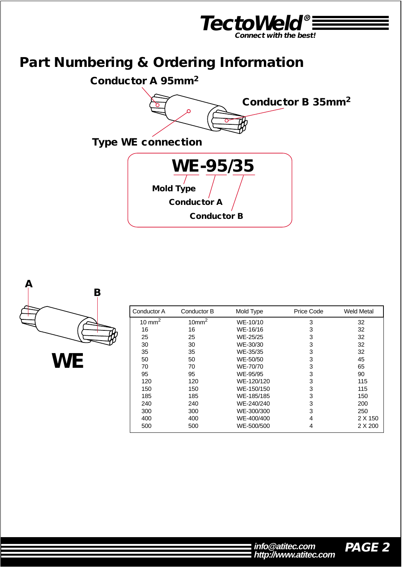

# **Part Numbering & Ordering Information**





| Conductor A        | Conductor B       | Mold Type  | Price Code | <b>Weld Metal</b> |
|--------------------|-------------------|------------|------------|-------------------|
| 10 mm <sup>2</sup> | 10mm <sup>2</sup> | WE-10/10   | 3          | 32                |
| 16                 | 16                | WE-16/16   | 3          | 32                |
| 25                 | 25                | WE-25/25   | 3          | 32                |
| 30                 | 30                | WE-30/30   | 3          | 32                |
| 35                 | 35                | WE-35/35   | 3          | 32                |
| 50                 | 50                | WE-50/50   | 3          | 45                |
| 70                 | 70                | WE-70/70   | 3          | 65                |
| 95                 | 95                | WE-95/95   | 3          | 90                |
| 120                | 120               | WE-120/120 | 3          | 115               |
| 150                | 150               | WE-150/150 | 3          | 115               |
| 185                | 185               | WE-185/185 | 3          | 150               |
| 240                | 240               | WE-240/240 | 3          | 200               |
| 300                | 300               | WE-300/300 | 3          | 250               |
| 400                | 400               | WE-400/400 | 4          | 2 X 150           |
| 500                | 500               | WE-500/500 | 4          | 2 X 200           |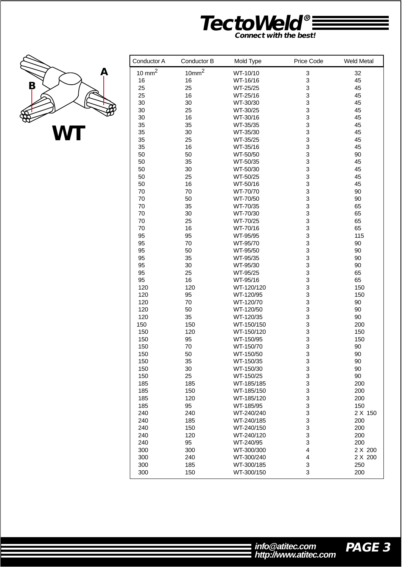



Г

| Conductor A       | Conductor B       | Mold Type  | Price Code              | <b>Weld Metal</b> |
|-------------------|-------------------|------------|-------------------------|-------------------|
| $10 \text{ mm}^2$ | 10mm <sup>2</sup> | WT-10/10   | 3                       | 32                |
| 16                | 16                | WT-16/16   | 3                       | 45                |
| 25                | 25                | WT-25/25   | 3                       | 45                |
| 25                | 16                | WT-25/16   | 3                       | 45                |
| 30                | 30                | WT-30/30   | $\mathsf 3$             | 45                |
|                   | 25                |            | $\mathsf 3$             | 45                |
| 30                |                   | WT-30/25   |                         |                   |
| 30                | 16                | WT-30/16   | 3                       | 45                |
| 35                | 35                | WT-35/35   | 3                       | 45                |
| 35                | 30                | WT-35/30   | 3                       | 45                |
| 35                | 25                | WT-35/25   | 3                       | 45                |
| 35                | 16                | WT-35/16   | 3                       | 45                |
| 50                | 50                | WT-50/50   | 3                       | 90                |
| 50                | 35                | WT-50/35   | 3                       | 45                |
| 50                | 30                | WT-50/30   | 3                       | 45                |
| 50                | 25                | WT-50/25   | 3                       | 45                |
| 50                | 16                | WT-50/16   | 3                       | 45                |
| 70                | 70                | WT-70/70   | $\mathsf 3$             | 90                |
| 70                | 50                | WT-70/50   | $\mathsf 3$             | 90                |
| 70                | 35                | WT-70/35   | 3                       | 65                |
| 70                | 30                | WT-70/30   | 3                       | 65                |
| 70                | 25                | WT-70/25   | 3                       | 65                |
| 70                | 16                | WT-70/16   | 3                       | 65                |
| 95                | 95                | WT-95/95   | 3                       | 115               |
| 95                | 70                | WT-95/70   | 3                       | 90                |
| 95                | 50                | WT-95/50   | 3                       | 90                |
| 95                | 35                | WT-95/35   | 3                       | 90                |
| 95                | 30                | WT-95/30   | 3                       | 90                |
| 95                | 25                | WT-95/25   | 3                       | 65                |
| 95                | 16                |            | $\mathsf 3$             | 65                |
|                   |                   | WT-95/16   |                         |                   |
| 120               | 120               | WT-120/120 | $\mathsf 3$             | 150               |
| 120               | 95                | WT-120/95  | 3                       | 150               |
| 120               | 70                | WT-120/70  | 3                       | 90                |
| 120               | 50                | WT-120/50  | 3                       | 90                |
| 120               | 35                | WT-120/35  | 3                       | 90                |
| 150               | 150               | WT-150/150 | 3                       | 200               |
| 150               | 120               | WT-150/120 | 3                       | 150               |
| 150               | 95                | WT-150/95  | 3                       | 150               |
| 150               | 70                | WT-150/70  | 3                       | 90                |
| 150               | 50                | WT-150/50  | 3                       | 90                |
| 150               | 35                | WT-150/35  | 3                       | 90                |
| 150               | 30                | WT-150/30  | 3                       | 90                |
| 150               | 25                | WT-150/25  | 3                       | 90                |
| 185               | 185               | WT-185/185 | 3                       | 200               |
| 185               | 150               | WT-185/150 | 3                       | 200               |
| 185               | 120               | WT-185/120 | 3                       | 200               |
| 185               | 95                | WT-185/95  | 3                       | 150               |
| 240               | 240               | WT-240/240 | 3                       | 2 X 150           |
| 240               | 185               | WT-240/185 | 3                       | 200               |
| 240               | 150               | WT-240/150 | 3                       | 200               |
| 240               | 120               | WT-240/120 | 3                       | 200               |
|                   |                   |            |                         |                   |
| 240               | 95                | WT-240/95  | 3                       | 200               |
| 300               | 300               | WT-300/300 | $\overline{\mathbf{4}}$ | 2 X 200           |
| 300               | 240               | WT-300/240 | 4                       | 2 X 200           |
| 300               | 185               | WT-300/185 | 3                       | 250               |
| 300               | 150               | WT-300/150 | 3                       | 200               |

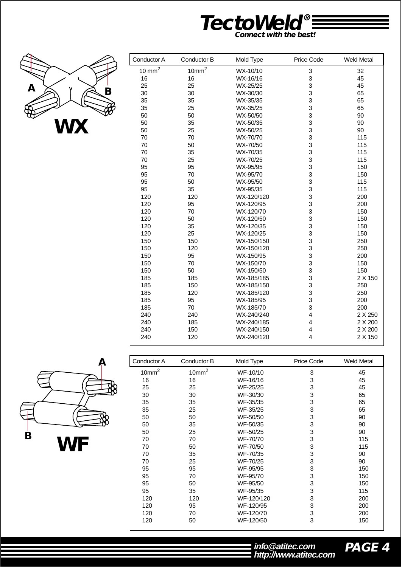



| Conductor A       | Conductor B       | Mold Type  | Price Code  | <b>Weld Metal</b> |
|-------------------|-------------------|------------|-------------|-------------------|
| $10 \text{ mm}^2$ | 10mm <sup>2</sup> | WX-10/10   | $\mathsf 3$ | 32                |
| 16                | 16                | WX-16/16   | 3           | 45                |
| 25                | 25                | WX-25/25   | 3           | 45                |
| 30                | 30                | WX-30/30   | 3           | 65                |
| 35                | 35                | WX-35/35   | 3           | 65                |
| 35                | 25                | WX-35/25   | 3           | 65                |
| 50                | 50                | WX-50/50   | 3           | 90                |
| 50                | 35                | WX-50/35   | 3           | 90                |
| 50                | 25                | WX-50/25   | 3           | 90                |
| 70                | 70                | WX-70/70   | 3           | 115               |
| 70                | 50                | WX-70/50   | 3           | 115               |
| 70                | 35                | WX-70/35   | 3           | 115               |
| 70                | 25                | WX-70/25   | 3           | 115               |
| 95                | 95                | WX-95/95   | 3           | 150               |
| 95                | 70                | WX-95/70   | 3           | 150               |
| 95                | 50                | WX-95/50   | 3           | 115               |
| 95                | 35                | WX-95/35   | 3           | 115               |
| 120               | 120               | WX-120/120 | 3           | 200               |
| 120               | 95                | WX-120/95  | 3           | 200               |
| 120               | 70                | WX-120/70  | 3           | 150               |
| 120               | 50                | WX-120/50  | 3           | 150               |
| 120               | 35                | WX-120/35  | 3           | 150               |
| 120               | 25                | WX-120/25  | 3           | 150               |
| 150               | 150               | WX-150/150 | 3           | 250               |
| 150               | 120               | WX-150/120 | 3           | 250               |
| 150               | 95                | WX-150/95  | 3           | 200               |
| 150               | 70                | WX-150/70  | 3           | 150               |
| 150               | 50                | WX-150/50  | 3           | 150               |
| 185               | 185               | WX-185/185 | 3           | 2 X 150           |
| 185               | 150               | WX-185/150 | 3           | 250               |
| 185               | 120               | WX-185/120 | 3           | 250               |
| 185               | 95                | WX-185/95  | 3           | 200               |
| 185               | 70                | WX-185/70  | 3           | 200               |
| 240               | 240               | WX-240/240 | 4           | 2 X 250           |
| 240               | 185               | WX-240/185 | 4           | 2 X 200           |
| 240               | 150               | WX-240/150 | 4           | 2 X 200           |
| 240               | 120               | WX-240/120 | 4           | 2 X 150           |



| Conductor A       | Conductor B       | Mold Type  | Price Code | <b>Weld Metal</b> |
|-------------------|-------------------|------------|------------|-------------------|
| 10mm <sup>2</sup> | 10mm <sup>2</sup> | WF-10/10   | 3          | 45                |
| 16                | 16                | WF-16/16   | 3          | 45                |
| 25                | 25                | WF-25/25   | 3          | 45                |
| 30                | 30                | WF-30/30   | 3          | 65                |
| 35                | 35                | WF-35/35   | 3          | 65                |
| 35                | 25                | WF-35/25   | 3          | 65                |
| 50                | 50                | WF-50/50   | 3          | 90                |
| 50                | 35                | WF-50/35   | 3          | 90                |
| 50                | 25                | WF-50/25   | 3          | 90                |
| 70                | 70                | WF-70/70   | 3          | 115               |
| 70                | 50                | WF-70/50   | 3          | 115               |
| 70                | 35                | WF-70/35   | 3          | 90                |
| 70                | 25                | WF-70/25   | 3          | 90                |
| 95                | 95                | WF-95/95   | 3          | 150               |
| 95                | 70                | WF-95/70   | 3          | 150               |
| 95                | 50                | WF-95/50   | 3          | 150               |
| 95                | 35                | WF-95/35   | 3          | 115               |
| 120               | 120               | WF-120/120 | 3          | 200               |
| 120               | 95                | WF-120/95  | 3          | 200               |
| 120               | 70                | WF-120/70  | 3          | 200               |
| 120               | 50                | WF-120/50  | 3          | 150               |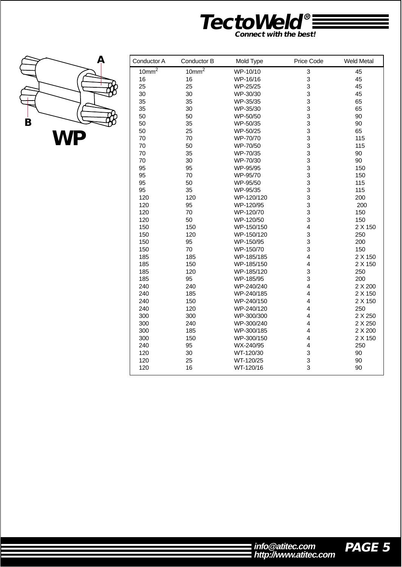



| Conductor A | Conductor B | Mold Type  | Price Code              | <b>Weld Metal</b> |
|-------------|-------------|------------|-------------------------|-------------------|
| $10mm^2$    | $10mm^2$    | WP-10/10   | 3                       | 45                |
| 16          | 16          | WP-16/16   | 3                       | 45                |
| 25          | 25          | WP-25/25   | 3                       | 45                |
| 30          | 30          | WP-30/30   | 3                       | 45                |
| 35          | 35          | WP-35/35   | 3                       | 65                |
| 35          | 30          | WP-35/30   | 3                       | 65                |
| 50          | 50          | WP-50/50   | 3                       | 90                |
| 50          | 35          | WP-50/35   | 3                       | 90                |
| 50          | 25          | WP-50/25   | 3                       | 65                |
| 70          | 70          | WP-70/70   | 3                       | 115               |
| 70          | 50          | WP-70/50   | 3                       | 115               |
| 70          | 35          | WP-70/35   | 3                       | 90                |
| 70          | 30          | WP-70/30   | 3                       | 90                |
| 95          | 95          | WP-95/95   | 3                       | 150               |
| 95          | 70          | WP-95/70   | 3                       | 150               |
| 95          | 50          | WP-95/50   | 3                       | 115               |
| 95          | 35          | WP-95/35   | 3                       | 115               |
| 120         | 120         | WP-120/120 | 3                       | 200               |
| 120         | 95          | WP-120/95  | 3                       | 200               |
| 120         | 70          | WP-120/70  | 3                       | 150               |
| 120         | 50          | WP-120/50  | 3                       | 150               |
| 150         | 150         | WP-150/150 | $\overline{\mathbf{4}}$ | 2 X 150           |
| 150         | 120         | WP-150/120 | 3                       | 250               |
| 150         | 95          | WP-150/95  | 3                       | 200               |
| 150         | 70          | WP-150/70  | 3                       | 150               |
| 185         | 185         | WP-185/185 | $\overline{\mathbf{4}}$ | 2 X 150           |
| 185         | 150         | WP-185/150 | 4                       | 2 X 150           |
| 185         | 120         | WP-185/120 | 3                       | 250               |
| 185         | 95          | WP-185/95  | 3                       | 200               |
| 240         | 240         | WP-240/240 | 4                       | 2 X 200           |
| 240         | 185         | WP-240/185 | 4                       | 2 X 150           |
| 240         | 150         | WP-240/150 | 4                       | 2 X 150           |
| 240         | 120         | WP-240/120 | 4                       | 250               |
| 300         | 300         | WP-300/300 | 4                       | 2 X 250           |
| 300         | 240         | WP-300/240 | 4                       | 2 X 250           |
| 300         | 185         | WP-300/185 | $\overline{\mathbf{4}}$ | 2 X 200           |
| 300         | 150         | WP-300/150 | 4                       | 2 X 150           |
| 240         | 95          | WX-240/95  | 4                       | 250               |
| 120         | 30          | WT-120/30  | 3                       | 90                |
| 120         | 25          | WT-120/25  | 3                       | 90                |
| 120         | 16          | WT-120/16  | 3                       | 90                |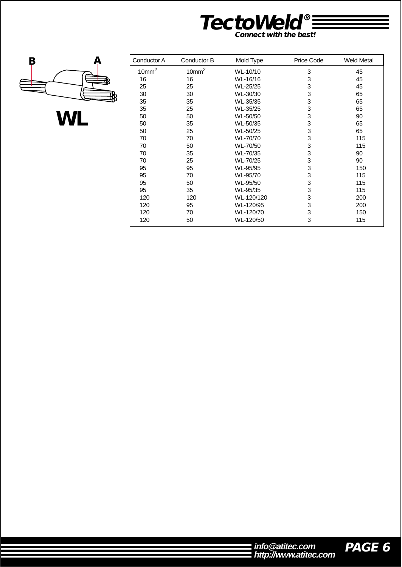



**WL**

| Conductor A       | Conductor B       | Mold Type  | Price Code | <b>Weld Metal</b> |
|-------------------|-------------------|------------|------------|-------------------|
| 10mm <sup>2</sup> | 10mm <sup>2</sup> | WL-10/10   | 3          | 45                |
| 16                | 16                | WL-16/16   | 3          | 45                |
| 25                | 25                | WL-25/25   | 3          | 45                |
| 30                | 30                | WL-30/30   | 3          | 65                |
| 35                | 35                | WL-35/35   | 3          | 65                |
| 35                | 25                | WL-35/25   | 3          | 65                |
| 50                | 50                | WL-50/50   | 3          | 90                |
| 50                | 35                | WL-50/35   | 3          | 65                |
| 50                | 25                | WL-50/25   | 3          | 65                |
| 70                | 70                | WL-70/70   | 3          | 115               |
| 70                | 50                | WL-70/50   | 3          | 115               |
| 70                | 35                | WL-70/35   | 3          | 90                |
| 70                | 25                | WL-70/25   | 3          | 90                |
| 95                | 95                | WL-95/95   | 3          | 150               |
| 95                | 70                | WL-95/70   | 3          | 115               |
| 95                | 50                | WL-95/50   | 3          | 115               |
| 95                | 35                | WL-95/35   | 3          | 115               |
| 120               | 120               | WL-120/120 | 3          | 200               |
| 120               | 95                | WL-120/95  | 3          | 200               |
| 120               | 70                | WL-120/70  | 3          | 150               |
| 120               | 50                | WL-120/50  | 3          | 115               |

| $\blacksquare$ info@atitec.com | PAGE 6 |
|--------------------------------|--------|
| http://www.atitec.com          |        |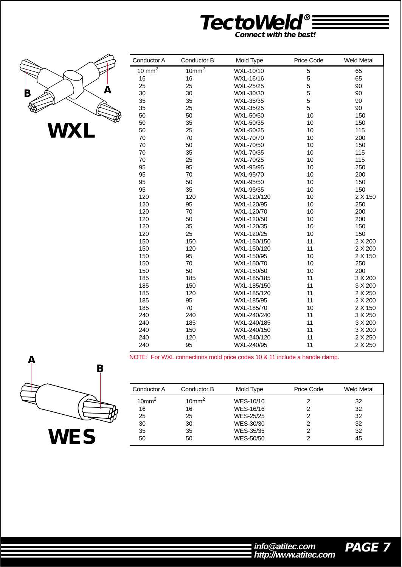



| Conductor A | Conductor B | Mold Type   | Price Code | <b>Weld Metal</b> |
|-------------|-------------|-------------|------------|-------------------|
| 10 $mm^2$   | $10mm^2$    | WXL-10/10   | 5          | 65                |
| 16          | 16          | WXL-16/16   | 5          | 65                |
| 25          | 25          | WXL-25/25   | 5          | 90                |
| 30          | 30          | WXL-30/30   | 5          | 90                |
| 35          | 35          | WXL-35/35   | 5          | 90                |
| 35          | 25          | WXL-35/25   | 5          | 90                |
| 50          | 50          | WXL-50/50   | 10         | 150               |
| 50          | 35          | WXL-50/35   | 10         | 150               |
| 50          | 25          | WXL-50/25   | 10         | 115               |
| 70          | 70          | WXL-70/70   | 10         | 200               |
| 70          | 50          | WXL-70/50   | 10         | 150               |
| 70          | 35          | WXL-70/35   | 10         | 115               |
| 70          | 25          | WXL-70/25   | 10         | 115               |
| 95          | 95          | WXL-95/95   | 10         | 250               |
| 95          | 70          | WXL-95/70   | 10         | 200               |
| 95          | 50          | WXL-95/50   | 10         | 150               |
| 95          | 35          | WXL-95/35   | 10         | 150               |
| 120         | 120         | WXL-120/120 | 10         | 2 X 150           |
| 120         | 95          | WXL-120/95  | 10         | 250               |
| 120         | 70          | WXL-120/70  | 10         | 200               |
| 120         | 50          | WXL-120/50  | 10         | 200               |
| 120         | 35          | WXL-120/35  | 10         | 150               |
| 120         | 25          | WXL-120/25  | 10         | 150               |
| 150         | 150         | WXL-150/150 | 11         | 2 X 200           |
| 150         | 120         | WXL-150/120 | 11         | 2 X 200           |
| 150         | 95          | WXL-150/95  | 10         | 2 X 150           |
| 150         | 70          | WXL-150/70  | 10         | 250               |
| 150         | 50          | WXL-150/50  | 10         | 200               |
| 185         | 185         | WXL-185/185 | 11         | 3 X 200           |
| 185         | 150         | WXL-185/150 | 11         | 3 X 200           |
| 185         | 120         | WXL-185/120 | 11         | 2 X 250           |
| 185         | 95          | WXL-185/95  | 11         | 2 X 200           |
| 185         | 70          | WXL-185/70  | 10         | 2 X 150           |
| 240         | 240         | WXL-240/240 | 11         | 3 X 250           |
| 240         | 185         | WXL-240/185 | 11         | 3 X 200           |
| 240         | 150         | WXL-240/150 | 11         | 3 X 200           |
| 240         | 120         | WXL-240/120 | 11         | 2 X 250           |
| 240         | 95          | WXL-240/95  | 11         | 2 X 250           |

NOTE: For WXL connections mold price codes 10 & 11 include a handle clamp.



| Conductor A          | Conductor B       | Mold Type | Price Code | Weld Metal |
|----------------------|-------------------|-----------|------------|------------|
| $10$ mm <sup>2</sup> | 10mm <sup>2</sup> | WES-10/10 |            | 32         |
| 16                   | 16                | WES-16/16 | 2          | 32         |
| 25                   | 25                | WES-25/25 |            | 32         |
| 30                   | 30                | WES-30/30 |            | 32         |
| 35                   | 35                | WES-35/35 |            | 32         |
| 50                   | 50                | WES-50/50 |            | 45         |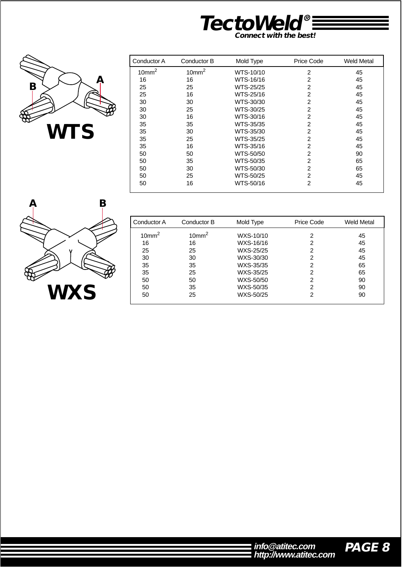



| Conductor A       | Conductor B       | Mold Type | Price Code     | Weld Metal |
|-------------------|-------------------|-----------|----------------|------------|
| 10mm <sup>2</sup> | 10mm <sup>2</sup> | WTS-10/10 | 2              | 45         |
| 16                | 16                | WTS-16/16 | $\overline{2}$ | 45         |
| 25                | 25                | WTS-25/25 | $\overline{2}$ | 45         |
| 25                | 16                | WTS-25/16 | $\overline{2}$ | 45         |
| 30                | 30                | WTS-30/30 | $\overline{2}$ | 45         |
| 30                | 25                | WTS-30/25 | $\overline{2}$ | 45         |
| 30                | 16                | WTS-30/16 | $\overline{2}$ | 45         |
| 35                | 35                | WTS-35/35 | $\overline{2}$ | 45         |
| 35                | 30                | WTS-35/30 | $\overline{2}$ | 45         |
| 35                | 25                | WTS-35/25 | $\overline{2}$ | 45         |
| 35                | 16                | WTS-35/16 | $\overline{2}$ | 45         |
| 50                | 50                | WTS-50/50 | $\overline{2}$ | 90         |
| 50                | 35                | WTS-50/35 | $\overline{2}$ | 65         |
| 50                | 30                | WTS-50/30 | $\overline{2}$ | 65         |
| 50                | 25                | WTS-50/25 | $\overline{2}$ | 45         |
| 50                | 16                | WTS-50/16 | $\overline{2}$ | 45         |



| Conductor A       | Conductor B       | Mold Type | Price Code | Weld Metal |
|-------------------|-------------------|-----------|------------|------------|
| 10mm <sup>2</sup> | 10mm <sup>2</sup> | WXS-10/10 | 2          | 45         |
| 16                | 16                | WXS-16/16 | 2          | 45         |
| 25                | 25                | WXS-25/25 | 2          | 45         |
| 30                | 30                | WXS-30/30 | 2          | 45         |
| 35                | 35                | WXS-35/35 | 2          | 65         |
| 35                | 25                | WXS-35/25 | 2          | 65         |
| 50                | 50                | WXS-50/50 | 2          | 90         |
| 50                | 35                | WXS-50/35 | 2          | 90         |
| 50                | 25                | WXS-50/25 | 2          | 90         |

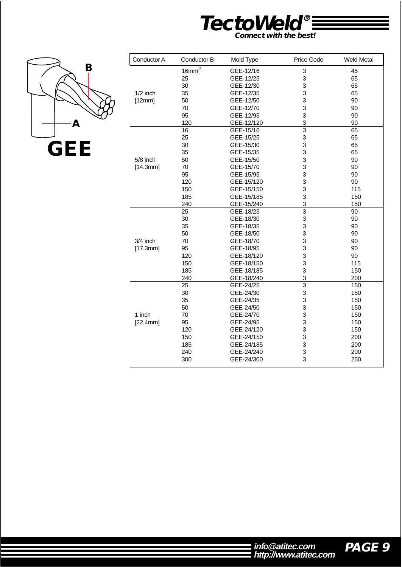



| 16mm <sup>2</sup> |                   |                                        |                                                   |
|-------------------|-------------------|----------------------------------------|---------------------------------------------------|
|                   | GEE-12/16         | 3                                      | 45                                                |
| 25                | GEE-12/25         | 3                                      | 65                                                |
| 30                | GEE-12/30         | 3                                      | 65                                                |
| 35                | GEE-12/35         | 3                                      | 65                                                |
| 50                | GEE-12/50         | 3                                      | 90                                                |
| 70                | GEE-12/70         | 3                                      | 90                                                |
| 95                | GEE-12/95         | 3                                      | 90                                                |
| 120               | GEE-12/120        | 3                                      | 90                                                |
| 16                | GEE-15/16         |                                        | 65                                                |
| 25                | GEE-15/25         |                                        | 65                                                |
| 30                | GEE-15/30         | 3                                      | 65                                                |
| 35                | GEE-15/35         | 3                                      | 65                                                |
| 50                | GEE-15/50         | 3                                      | 90                                                |
| 70                | GEE-15/70         | 3                                      | 90                                                |
| 95                | GEE-15/95         | 3                                      | 90                                                |
| 120               | GEE-15/120        | 3                                      | 90                                                |
| 150               | GEE-15/150        | 3                                      | 115                                               |
| 185               | GEE-15/185        | 3                                      | 150                                               |
|                   | GEE-15/240        |                                        | 150                                               |
| 25                | GEE-18/25         | $\overline{3}$                         | 90                                                |
| 30                | GEE-18/30         | 3                                      | 90                                                |
| 35                | GEE-18/35         | 3                                      | 90                                                |
| 50                | GEE-18/50         | 3                                      | 90                                                |
| 70                | GEE-18/70         | 3                                      | 90                                                |
| 95                | GEE-18/95         | 3                                      | 90                                                |
| 120               | GEE-18/120        | 3                                      | 90                                                |
| 150               | GEE-18/150        | 3                                      | 115                                               |
| 185               | GEE-18/185        |                                        | 150                                               |
| 240               | GEE-18/240        | 3                                      | 200                                               |
| 25                | GEE-24/25         | $\overline{3}$                         | 150                                               |
| 30                | GEE-24/30         |                                        | 150                                               |
| 35                | GEE-24/35         | 3                                      | 150                                               |
| 50                | GEE-24/50         | 3                                      | 150                                               |
| 70                | GEE-24/70         | 3                                      | 150                                               |
| 95                | GEE-24/95         | 3                                      | 150                                               |
| 120               | GEE-24/120        | 3                                      | 150                                               |
| 150               | GEE-24/150        |                                        | 200                                               |
| 185               |                   |                                        | 200                                               |
|                   |                   |                                        | 200                                               |
|                   |                   | 3                                      | 250                                               |
|                   | 240<br>240<br>300 | GEE-24/185<br>GEE-24/240<br>GEE-24/300 | $\overline{3}$<br>3<br>3<br>3<br>3<br>3<br>3<br>3 |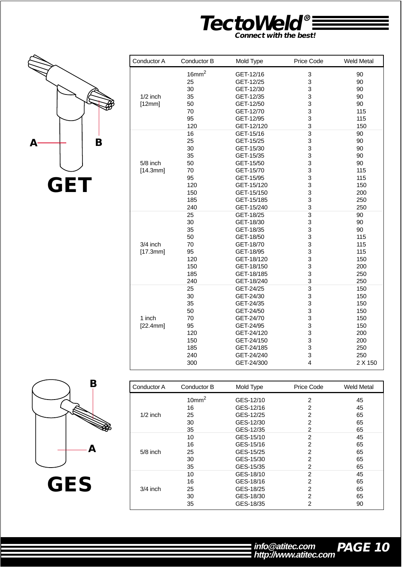



| Conductor A | Conductor B       | Mold Type  | Price Code     | <b>Weld Metal</b> |
|-------------|-------------------|------------|----------------|-------------------|
|             | 16mm <sup>2</sup> | GET-12/16  | 3              | 90                |
|             | 25                | GET-12/25  | 3              | 90                |
|             | 30                | GET-12/30  | 3              | 90                |
| $1/2$ inch  | 35                | GET-12/35  | 3              | 90                |
| [12mm]      | 50                | GET-12/50  | 3              | 90                |
|             | 70                | GET-12/70  | 3              | 115               |
|             | 95                | GET-12/95  | 3              | 115               |
|             | 120               | GET-12/120 | 3              | 150               |
|             | 16                | GET-15/16  | $\overline{3}$ | 90                |
|             | 25                | GET-15/25  | 3              | 90                |
|             | 30                | GET-15/30  | 3              | 90                |
|             | 35                | GET-15/35  | 3              | 90                |
| 5/8 inch    | 50                | GET-15/50  | 3              | 90                |
| [14.3mm]    | 70                | GET-15/70  | 3              | 115               |
|             | 95                | GET-15/95  | 3              | 115               |
|             | 120               | GET-15/120 | 3              | 150               |
|             | 150               | GET-15/150 | 3              | 200               |
|             | 185               | GET-15/185 | 3              | 250               |
|             | 240               | GET-15/240 | 3              | 250               |
|             | 25                | GET-18/25  | $\overline{3}$ | 90                |
|             | 30                | GET-18/30  | 3              | 90                |
|             | 35                | GET-18/35  | 3              | 90                |
|             | 50                | GET-18/50  | 3              | 115               |
| 3/4 inch    | 70                | GET-18/70  | 3              | 115               |
| [17.3mm]    | 95                | GET-18/95  | 3              | 115               |
|             | 120               | GET-18/120 | 3              | 150               |
|             | 150               | GET-18/150 | 3              | 200               |
|             | 185               | GET-18/185 | 3              | 250               |
|             | 240               | GET-18/240 | 3              | 250               |
|             | 25                | GET-24/25  | 3              | 150               |
|             | 30                | GET-24/30  | 3              | 150               |
|             | 35                | GET-24/35  | 3              | 150               |
|             | 50                | GET-24/50  | 3              | 150               |
| 1 inch      | 70                | GET-24/70  | 3              | 150               |
| [22.4mm]    | 95                | GET-24/95  | 3              | 150               |
|             | 120               | GET-24/120 | 3              | 200               |
|             | 150               | GET-24/150 | 3              | 200               |
|             | 185               | GET-24/185 | 3              | 250               |
|             | 240               | GET-24/240 | 3              | 250               |
|             | 300               | GET-24/300 | 4              | 2 X 150           |



| Conductor A | Conductor B       | Mold Type | Price Code     | <b>Weld Metal</b> |
|-------------|-------------------|-----------|----------------|-------------------|
|             | 10mm <sup>2</sup> | GES-12/10 | 2              | 45                |
|             | 16                | GES-12/16 | 2              | 45                |
| $1/2$ inch  | 25                | GES-12/25 | 2              | 65                |
|             | 30                | GES-12/30 | $\overline{2}$ | 65                |
|             | 35                | GES-12/35 | 2              | 65                |
|             | 10                | GES-15/10 | $\overline{2}$ | 45                |
|             | 16                | GES-15/16 | $\overline{2}$ | 65                |
| $5/8$ inch  | 25                | GES-15/25 | $\overline{2}$ | 65                |
|             | 30                | GES-15/30 | $\overline{2}$ | 65                |
|             | 35                | GES-15/35 | $\overline{c}$ | 65                |
|             | 10                | GES-18/10 | $\overline{2}$ | 45                |
|             | 16                | GES-18/16 | $\overline{2}$ | 65                |
| $3/4$ inch  | 25                | GES-18/25 | $\overline{2}$ | 65                |
|             | 30                | GES-18/30 | $\overline{2}$ | 65                |
|             | 35                | GES-18/35 | 2              | 90                |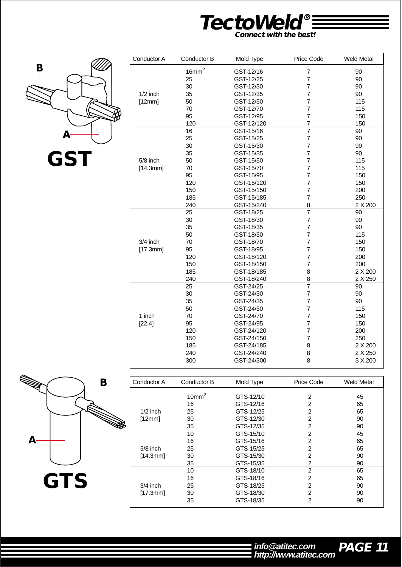



|            | 16mm <sup>2</sup> | GST-12/16  | $\overline{7}$ | 90      |
|------------|-------------------|------------|----------------|---------|
|            | 25                | GST-12/25  | $\overline{7}$ | 90      |
|            | 30                | GST-12/30  | $\overline{7}$ | 90      |
| $1/2$ inch | 35                | GST-12/35  | $\overline{7}$ | 90      |
| [12mm]     | 50                | GST-12/50  | $\overline{7}$ | 115     |
|            | 70                | GST-12/70  | $\overline{7}$ | 115     |
|            | 95                | GST-12/95  | $\overline{7}$ | 150     |
|            | 120               | GST-12/120 | 7              | 150     |
|            | 16                | GST-15/16  | $\overline{7}$ | 90      |
|            | 25                | GST-15/25  | $\overline{7}$ | 90      |
|            | 30                | GST-15/30  | $\overline{7}$ | 90      |
|            | 35                | GST-15/35  | $\overline{7}$ | 90      |
| 5/8 inch   | 50                | GST-15/50  | $\overline{7}$ | 115     |
| [14.3mm]   | 70                | GST-15/70  | $\overline{7}$ | 115     |
|            | 95                | GST-15/95  | $\overline{7}$ | 150     |
|            | 120               | GST-15/120 | $\overline{7}$ | 150     |
|            | 150               | GST-15/150 | $\overline{7}$ | 200     |
|            | 185               | GST-15/185 | $\overline{7}$ | 250     |
|            | 240               | GST-15/240 | 8              | 2 X 200 |
|            | 25                | GST-18/25  | $\overline{7}$ | 90      |
|            | 30                | GST-18/30  | $\overline{7}$ | 90      |
|            | 35                | GST-18/35  | $\overline{7}$ | 90      |
|            | 50                | GST-18/50  | $\overline{7}$ | 115     |
| 3/4 inch   | 70                | GST-18/70  | $\overline{7}$ | 150     |
| [17.3mm]   | 95                | GST-18/95  | $\overline{7}$ | 150     |
|            | 120               | GST-18/120 | $\overline{7}$ | 200     |
|            | 150               | GST-18/150 | $\overline{7}$ | 200     |
|            | 185               | GST-18/185 | 8              | 2 X 200 |
|            | 240               | GST-18/240 | 8              | 2 X 250 |
|            | 25                | GST-24/25  | $\overline{7}$ | 90      |
|            | 30                | GST-24/30  | $\overline{7}$ | 90      |
|            | 35                | GST-24/35  | $\overline{7}$ | 90      |
|            | 50                | GST-24/50  | $\overline{7}$ | 115     |
| 1 inch     | 70                | GST-24/70  | $\overline{7}$ | 150     |
| [22.4]     | 95                | GST-24/95  | $\overline{7}$ | 150     |
|            | 120               | GST-24/120 | 7              | 200     |
|            | 150               | GST-24/150 | $\overline{7}$ | 250     |
|            | 185               | GST-24/185 | 8              | 2 X 200 |
|            | 240               | GST-24/240 | 8              | 2 X 250 |
|            | 300               | GST-24/300 | 8              | 3 X 200 |



| Conductor A | Conductor B       | Mold Type | <b>Price Code</b> | <b>Weld Metal</b> |
|-------------|-------------------|-----------|-------------------|-------------------|
|             | 10mm <sup>2</sup> | GTS-12/10 | 2                 | 45                |
|             | 16                | GTS-12/16 | 2                 | 65                |
| $1/2$ inch  | 25                | GTS-12/25 | $\overline{2}$    | 65                |
| [12mm]      | 30                | GTS-12/30 | $\overline{2}$    | 90                |
|             | 35                | GTS-12/35 | 2                 | 90                |
|             | 10                | GTS-15/10 | $\overline{2}$    | 45                |
|             | 16                | GTS-15/16 | $\overline{2}$    | 65                |
| $5/8$ inch  | 25                | GTS-15/25 | 2                 | 65                |
| [14.3mm]    | 30                | GTS-15/30 | $\overline{2}$    | 90                |
|             | 35                | GTS-15/35 | $\overline{2}$    | 90                |
|             | 10                | GTS-18/10 | 2                 | 65                |
|             | 16                | GTS-18/16 | 2                 | 65                |
| $3/4$ inch  | 25                | GTS-18/25 | $\overline{2}$    | 90                |
| [17.3mm]    | 30                | GTS-18/30 | 2                 | 90                |
|             | 35                | GTS-18/35 | $\overline{2}$    | 90                |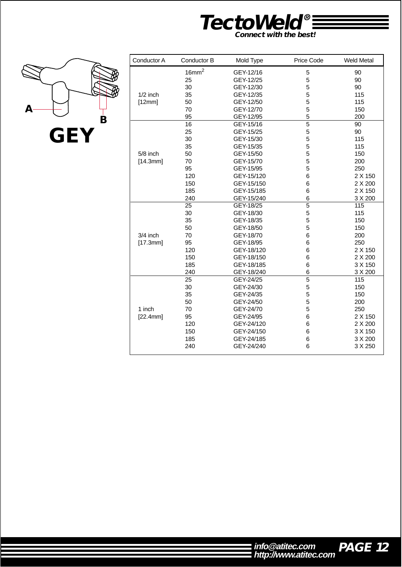



| Conductor A | Conductor B       | Mold Type  | Price Code     | <b>Weld Metal</b> |
|-------------|-------------------|------------|----------------|-------------------|
|             | 16mm <sup>2</sup> | GEY-12/16  | 5              | 90                |
|             | 25                | GEY-12/25  | 5              | 90                |
|             | 30                | GEY-12/30  | 5              | 90                |
| $1/2$ inch  | 35                | GEY-12/35  | 5              | 115               |
| [12mm]      | 50                | GEY-12/50  | 5              | 115               |
|             | 70                | GEY-12/70  | 5              | 150               |
|             | 95                | GEY-12/95  | 5              | 200               |
|             | 16                | GEY-15/16  | 5              | 90                |
|             | 25                | GEY-15/25  | 5              | 90                |
|             | 30                | GEY-15/30  | 5              | 115               |
|             | 35                | GEY-15/35  | 5              | 115               |
| 5/8 inch    | 50                | GEY-15/50  | 5              | 150               |
| [14.3mm]    | 70                | GEY-15/70  | 5              | 200               |
|             | 95                | GEY-15/95  | 5              | 250               |
|             | 120               | GEY-15/120 | 6              | 2 X 150           |
|             | 150               | GEY-15/150 | 6              | 2 X 200           |
|             | 185               | GEY-15/185 | 6              | 2 X 150           |
|             | 240               | GEY-15/240 | 6              | 3 X 200           |
|             | 25                | GEY-18/25  | 5              | 115               |
|             | 30                | GEY-18/30  | 5              | 115               |
|             | 35                | GEY-18/35  | 5              | 150               |
|             | 50                | GEY-18/50  | 5              | 150               |
| $3/4$ inch  | 70                | GEY-18/70  | 6              | 200               |
| [17.3mm]    | 95                | GEY-18/95  | 6              | 250               |
|             | 120               | GEY-18/120 | 6              | 2 X 150           |
|             | 150               | GEY-18/150 | 6              | 2 X 200           |
|             | 185               | GEY-18/185 | 6              | 3 X 150           |
|             | 240               | GEY-18/240 | 6              | 3 X 200           |
|             | 25                | GEY-24/25  | $\overline{5}$ | 115               |
|             | 30                | GEY-24/30  | 5              | 150               |
|             | 35                | GEY-24/35  | 5              | 150               |
|             | 50                | GEY-24/50  | 5              | 200               |
| 1 inch      | 70                | GEY-24/70  | 5              | 250               |
| [22.4mm]    | 95                | GEY-24/95  | 6              | 2 X 150           |
|             | 120               | GEY-24/120 | 6              | 2 X 200           |
|             | 150               | GEY-24/150 | 6              | 3 X 150           |
|             | 185               | GEY-24/185 | 6              | 3 X 200           |
|             | 240               | GEY-24/240 | 6              | 3 X 250           |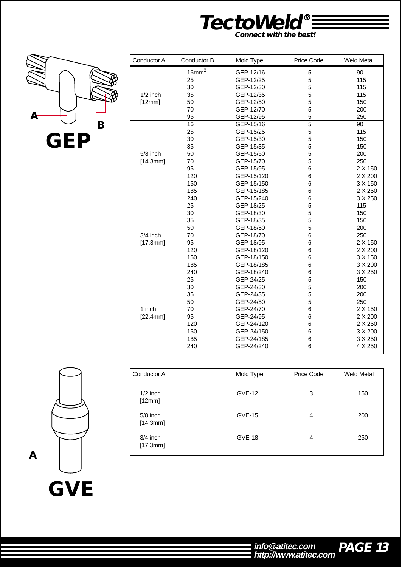



| Conductor A | Conductor B       | Mold Type  | Price Code | <b>Weld Metal</b> |
|-------------|-------------------|------------|------------|-------------------|
|             | 16mm <sup>2</sup> | GEP-12/16  | 5          | 90                |
|             | 25                | GEP-12/25  | 5          | 115               |
|             | 30                | GEP-12/30  | 5          | 115               |
| $1/2$ inch  | 35                | GEP-12/35  | 5          | 115               |
| [12mm]      | 50                | GEP-12/50  | 5          | 150               |
|             | 70                | GEP-12/70  | 5          | 200               |
|             | 95                | GEP-12/95  | 5          | 250               |
|             | 16                | GEP-15/16  | 5          | 90                |
|             | 25                | GEP-15/25  | 5          | 115               |
|             | 30                | GEP-15/30  | 5          | 150               |
|             | 35                | GEP-15/35  | 5          | 150               |
| $5/8$ inch  | 50                | GEP-15/50  | 5          | 200               |
| [14.3mm]    | 70                | GEP-15/70  | 5          | 250               |
|             | 95                | GEP-15/95  | 6          | 2 X 150           |
|             | 120               | GEP-15/120 | 6          | 2 X 200           |
|             | 150               | GEP-15/150 | 6          | 3 X 150           |
|             | 185               | GEP-15/185 | 6          | 2 X 250           |
|             | 240               | GEP-15/240 | 6          | 3 X 250           |
|             | 25                | GEP-18/25  | 5          | 115               |
|             | 30                | GEP-18/30  | 5          | 150               |
|             | 35                | GEP-18/35  | 5          | 150               |
|             | 50                | GEP-18/50  | 5          | 200               |
| 3/4 inch    | 70                | GEP-18/70  | 6          | 250               |
| [17.3mm]    | 95                | GEP-18/95  | 6          | 2 X 150           |
|             | 120               | GEP-18/120 | 6          | 2 X 200           |
|             | 150               | GEP-18/150 | 6          | 3 X 150           |
|             | 185               | GEP-18/185 | 6          | 3 X 200           |
|             | 240               | GEP-18/240 | 6          | 3 X 250           |
|             | 25                | GEP-24/25  | 5          | 150               |
|             | 30                | GEP-24/30  | 5          | 200               |
|             | 35                | GEP-24/35  | 5          | 200               |
|             | 50                | GEP-24/50  | 5          | 250               |
| 1 inch      | 70                | GEP-24/70  | 6          | 2 X 150           |
| [22.4mm]    | 95                | GEP-24/95  | 6          | 2 X 200           |
|             | 120               | GEP-24/120 | 6          | 2 X 250           |
|             | 150               | GEP-24/150 | 6          | 3 X 200           |
|             | 185               | GEP-24/185 | 6          | 3 X 250           |
|             | 240               | GEP-24/240 | 6          | 4 X 250           |
|             |                   |            |            |                   |

| VE<br>G<br>1 |
|--------------|

| Mold Type     | Price Code | <b>Weld Metal</b> |
|---------------|------------|-------------------|
| <b>GVE-12</b> | 3          | 150               |
| <b>GVE-15</b> | 4          | 200               |
| <b>GVE-18</b> | 4          | 250               |
|               |            |                   |

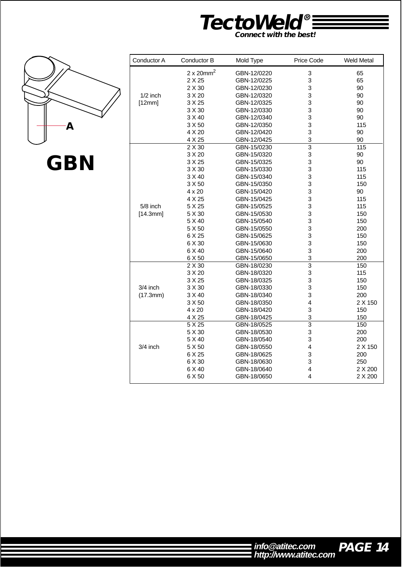![](_page_14_Picture_0.jpeg)

![](_page_14_Picture_1.jpeg)

|  | ,<br>I. | $\overline{\phantom{a}}$ |
|--|---------|--------------------------|
|--|---------|--------------------------|

| Conductor A | Conductor B                   | Mold Type   | Price Code     | <b>Weld Metal</b> |
|-------------|-------------------------------|-------------|----------------|-------------------|
|             | $2 \times 20$ mm <sup>2</sup> | GBN-12/0220 | 3              | 65                |
|             | 2 X 25                        | GBN-12/0225 | 3              | 65                |
|             | 2 X 30                        | GBN-12/0230 | 3              | 90                |
| $1/2$ inch  | 3 X 20                        | GBN-12/0320 | 3              | 90                |
| [12mm]      | 3 X 25                        | GBN-12/0325 | 3              | 90                |
|             | 3 X 30                        | GBN-12/0330 | 3              | 90                |
|             | 3 X 40                        | GBN-12/0340 | 3              | 90                |
|             | 3 X 50                        | GBN-12/0350 | 3              | 115               |
|             | 4 X 20                        | GBN-12/0420 | 3              | 90                |
|             | 4 X 25                        | GBN-12/0425 | 3              | 90                |
|             | 2 X 30                        | GBN-15/0230 | 3              | 115               |
|             | 3 X 20                        | GBN-15/0320 | 3              | 90                |
|             | 3 X 25                        | GBN-15/0325 | 3              | 90                |
|             | 3 X 30                        | GBN-15/0330 | 3              | 115               |
|             | 3 X 40                        | GBN-15/0340 | 3              | 115               |
|             | 3 X 50                        | GBN-15/0350 | 3              | 150               |
|             | $4 \times 20$                 | GBN-15/0420 | 3              | 90                |
|             | 4 X 25                        | GBN-15/0425 | 3              | 115               |
| 5/8 inch    | 5 X 25                        | GBN-15/0525 | 3              | 115               |
| [14.3mm]    | 5 X 30                        | GBN-15/0530 | 3              | 150               |
|             | 5 X 40                        | GBN-15/0540 | 3              | 150               |
|             | 5 X 50                        | GBN-15/0550 | 3              | 200               |
|             | 6 X 25                        | GBN-15/0625 | 3              | 150               |
|             | 6 X 30                        | GBN-15/0630 | 3              | 150               |
|             | 6 X 40                        | GBN-15/0640 | 3              | 200               |
|             | 6 X 50                        | GBN-15/0650 | 3              | 200               |
|             | 2 X 30                        | GBN-18/0230 | $\overline{3}$ | 150               |
|             | 3 X 20                        | GBN-18/0320 | 3              | 115               |
|             | 3 X 25                        | GBN-18/0325 | 3              | 150               |
| 3/4 inch    | 3 X 30                        | GBN-18/0330 | 3              | 150               |
| (17.3mm)    | 3 X 40                        | GBN-18/0340 | 3              | 200               |
|             | 3 X 50                        | GBN-18/0350 | 4              | 2 X 150           |
|             | $4 \times 20$                 | GBN-18/0420 | 3              | 150               |
|             | 4 X 25                        | GBN-18/0425 | 3              | 150               |
|             | 5 X 25                        | GBN-18/0525 | 3              | 150               |
|             | 5 X 30                        | GBN-18/0530 | 3              | 200               |
|             | 5 X 40                        | GBN-18/0540 | 3              | 200               |
| 3/4 inch    | 5 X 50                        | GBN-18/0550 | 4              | 2 X 150           |
|             | 6 X 25                        | GBN-18/0625 | 3              | 200               |
|             | 6 X 30                        | GBN-18/0630 | 3              | 250               |
|             | 6 X 40                        | GBN-18/0640 | 4              | 2 X 200           |
|             | 6 X 50                        | GBN-18/0650 | 4              | 2 X 200           |

![](_page_14_Picture_5.jpeg)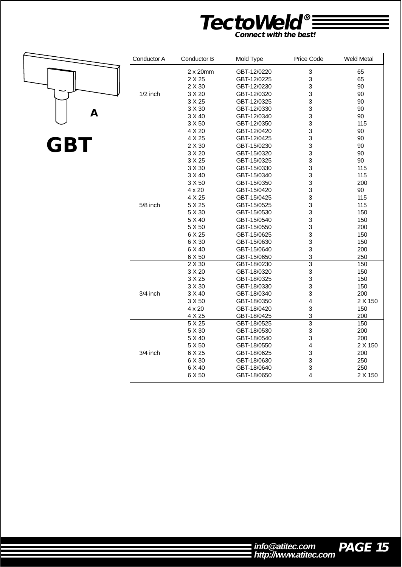![](_page_15_Picture_0.jpeg)

**A**

| Conductor A | Conductor B   | Mold Type   | <b>Price Code</b>       | <b>Weld Metal</b> |
|-------------|---------------|-------------|-------------------------|-------------------|
|             | 2x20mm        | GBT-12/0220 | 3                       | 65                |
|             | 2 X 25        | GBT-12/0225 | 3                       | 65                |
|             | 2 X 30        | GBT-12/0230 | 3                       | 90                |
| $1/2$ inch  | 3 X 20        | GBT-12/0320 | 3                       | 90                |
|             | 3 X 25        | GBT-12/0325 | 3                       | 90                |
|             | 3 X 30        | GBT-12/0330 | 3                       | 90                |
|             | 3 X 40        | GBT-12/0340 | 3                       | 90                |
|             | 3 X 50        | GBT-12/0350 | 3                       | 115               |
|             | 4 X 20        | GBT-12/0420 | 3                       | 90                |
|             | 4 X 25        | GBT-12/0425 | 3                       | 90                |
|             | 2 X 30        | GBT-15/0230 | $\overline{3}$          | 90                |
|             | 3 X 20        | GBT-15/0320 | 3                       | 90                |
|             | 3 X 25        | GBT-15/0325 | 3                       | 90                |
|             | 3 X 30        | GBT-15/0330 | 3                       | 115               |
|             | 3 X 40        | GBT-15/0340 | 3                       | 115               |
|             | 3 X 50        | GBT-15/0350 | 3                       | 200               |
|             | $4 \times 20$ | GBT-15/0420 | 3                       | 90                |
|             | 4 X 25        | GBT-15/0425 | 3                       | 115               |
| $5/8$ inch  | 5 X 25        | GBT-15/0525 | 3                       | 115               |
|             | 5 X 30        | GBT-15/0530 | 3                       | 150               |
|             | 5 X 40        | GBT-15/0540 | 3                       | 150               |
|             | 5 X 50        | GBT-15/0550 | 3                       | 200               |
|             | 6 X 25        | GBT-15/0625 | 3                       | 150               |
|             | 6 X 30        | GBT-15/0630 | 3                       | 150               |
|             | 6 X 40        | GBT-15/0640 | 3                       | 200               |
|             | 6 X 50        | GBT-15/0650 | 3                       | 250               |
|             | 2 X 30        | GBT-18/0230 | $\overline{3}$          | 150               |
|             | 3 X 20        | GBT-18/0320 | 3                       | 150               |
|             | 3 X 25        | GBT-18/0325 | 3                       | 150               |
|             | 3 X 30        | GBT-18/0330 | 3                       | 150               |
| 3/4 inch    | 3 X 40        | GBT-18/0340 | 3                       | 200               |
|             | 3 X 50        | GBT-18/0350 | 4                       | 2 X 150           |
|             | $4 \times 20$ | GBT-18/0420 | 3                       | 150               |
|             | 4 X 25        | GBT-18/0425 | 3                       | 200               |
|             | 5 X 25        | GBT-18/0525 | $\overline{3}$          | 150               |
|             | 5 X 30        | GBT-18/0530 | 3                       | 200               |
|             | 5 X 40        | GBT-18/0540 | 3                       | 200               |
|             | 5 X 50        | GBT-18/0550 | $\overline{\mathbf{4}}$ | 2 X 150           |
| 3/4 inch    | 6 X 25        | GBT-18/0625 | 3                       | 200               |
|             | 6 X 30        | GBT-18/0630 | 3                       | 250               |
|             | 6 X 40        | GBT-18/0640 | 3                       | 250               |
|             | 6 X 50        | GBT-18/0650 | 4                       | 2 X 150           |

![](_page_15_Picture_5.jpeg)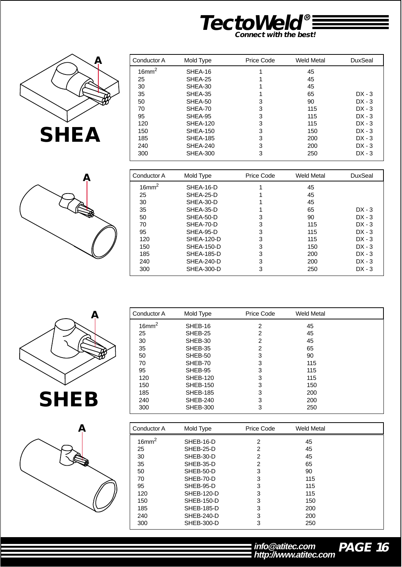![](_page_16_Picture_0.jpeg)

![](_page_16_Picture_1.jpeg)

| Ą |  |
|---|--|
|   |  |
|   |  |

| Mold Type       | Price Code | Weld Metal | <b>DuxSeal</b> |
|-----------------|------------|------------|----------------|
| SHEA-16         |            | 45         |                |
| SHEA-25         |            | 45         |                |
| SHEA-30         |            | 45         |                |
| SHEA-35         |            | 65         | $DX - 3$       |
| SHEA-50         | 3          | 90         | $DX - 3$       |
| SHEA-70         | 3          | 115        | $DX - 3$       |
| SHEA-95         | 3          | 115        | $DX - 3$       |
| <b>SHEA-120</b> | 3          | 115        | $DX - 3$       |
| <b>SHEA-150</b> | 3          | 150        | $DX - 3$       |
| <b>SHEA-185</b> | 3          | 200        | $DX - 3$       |
| SHEA-240        | 3          | 200        | $DX - 3$       |
| <b>SHEA-300</b> | 3          | 250        | $DX - 3$       |
|                 |            |            |                |

| Conductor A  | Mold Type         | Price Code | Weld Metal | <b>DuxSeal</b> |
|--------------|-------------------|------------|------------|----------------|
| $16$ mm $^2$ | SHEA-16-D         |            | 45         |                |
| 25           | SHEA-25-D         |            | 45         |                |
| 30           | SHEA-30-D         |            | 45         |                |
| 35           | SHEA-35-D         |            | 65         | $DX - 3$       |
| 50           | SHEA-50-D         | 3          | 90         | $DX - 3$       |
| 70           | SHEA-70-D         | 3          | 115        | $DX - 3$       |
| 95           | SHEA-95-D         | 3          | 115        | $DX - 3$       |
| 120          | SHEA-120-D        | 3          | 115        | $DX - 3$       |
| 150          | <b>SHEA-150-D</b> | 3          | 150        | $DX - 3$       |
| 185          | <b>SHEA-185-D</b> | 3          | 200        | $DX - 3$       |
| 240          | SHEA-240-D        | 3          | 200        | $DX - 3$       |
| 300          | SHEA-300-D        | 3          | 250        | $DX - 3$       |

![](_page_16_Picture_5.jpeg)

![](_page_16_Picture_6.jpeg)

| Conductor A       | Mold Type         | Price Code     | <b>Weld Metal</b> |  |
|-------------------|-------------------|----------------|-------------------|--|
| 16mm <sup>2</sup> | SHEB-16           | $\overline{c}$ | 45                |  |
| 25                | SHEB-25           | $\overline{c}$ | 45                |  |
| 30                | SHEB-30           | $\overline{c}$ | 45                |  |
| 35                | SHEB-35           | $\overline{2}$ | 65                |  |
| 50                | SHEB-50           | 3              | 90                |  |
| 70                | SHEB-70           | 3              | 115               |  |
| 95                | SHEB-95           | 3              | 115               |  |
| 120               | <b>SHEB-120</b>   | 3              | 115               |  |
| 150               | <b>SHEB-150</b>   | 3              | 150               |  |
| 185               | <b>SHEB-185</b>   | 3              | 200               |  |
| 240               | <b>SHEB-240</b>   | 3              | 200               |  |
| 300               | <b>SHEB-300</b>   | 3              | 250               |  |
|                   |                   |                |                   |  |
| Conductor A       | Mold Type         | Price Code     | <b>Weld Metal</b> |  |
| 16mm <sup>2</sup> | SHEB-16-D         | $\overline{c}$ | 45                |  |
| 25                | SHEB-25-D         | $\overline{c}$ | 45                |  |
| 30                | SHEB-30-D         | $\overline{2}$ | 45                |  |
| 35                | SHEB-35-D         | $\overline{2}$ | 65                |  |
| 50                | SHEB-50-D         | 3              | 90                |  |
| 70                | SHEB-70-D         | 3              | 115               |  |
| 95                | SHEB-95-D         | 3              | 115               |  |
| 120               | <b>SHEB-120-D</b> | 3              | 115               |  |
| 150               | <b>SHEB-150-D</b> | 3              | 150               |  |
| 185               | SHEB-185-D        | 3              | 200               |  |
| 240               | SHEB-240-D        | 3              | 200               |  |
| 300               | <b>SHEB-300-D</b> | 3              | 250               |  |

# **PAGE 16 http://www.atitec.com info@atitec.com**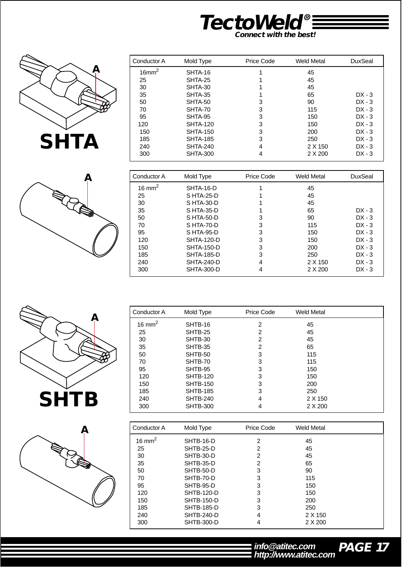![](_page_17_Picture_0.jpeg)

![](_page_17_Picture_1.jpeg)

![](_page_17_Picture_2.jpeg)

| Conductor A       | Mold Type       | Price Code | Weld Metal | DuxSeal  |
|-------------------|-----------------|------------|------------|----------|
| 16mm <sup>2</sup> | SHTA-16         |            | 45         |          |
| 25                | SHTA-25         |            | 45         |          |
| 30                | SHTA-30         |            | 45         |          |
| 35                | SHTA-35         |            | 65         | $DX - 3$ |
| 50                | SHTA-50         | 3          | 90         | $DX - 3$ |
| 70                | SHTA-70         | 3          | 115        | $DX - 3$ |
| 95                | SHTA-95         | 3          | 150        | $DX - 3$ |
| 120               | <b>SHTA-120</b> | 3          | 150        | $DX - 3$ |
| 150               | <b>SHTA-150</b> | 3          | 200        | $DX - 3$ |
| 185               | <b>SHTA-185</b> | 3          | 250        | $DX - 3$ |
| 240               | SHTA-240        | 4          | 2 X 150    | $DX - 3$ |
| 300               | <b>SHTA-300</b> | 4          | 2 X 200    | $DX - 3$ |

| Conductor A        | Mold Type         | Price Code | Weld Metal | DuxSeal  |
|--------------------|-------------------|------------|------------|----------|
| 16 mm <sup>2</sup> | SHTA-16-D         |            | 45         |          |
| 25                 | S HTA-25-D        |            | 45         |          |
| 30                 | S HTA-30-D        |            | 45         |          |
| 35                 | S HTA-35-D        |            | 65         | $DX - 3$ |
| 50                 | $S$ HTA-50-D      | 3          | 90         | $DX - 3$ |
| 70                 | SHTA-70-D         | 3          | 115        | $DX - 3$ |
| 95                 | S HTA-95-D        | 3          | 150        | $DX - 3$ |
| 120                | <b>SHTA-120-D</b> | 3          | 150        | $DX - 3$ |
| 150                | <b>SHTA-150-D</b> | 3          | 200        | $DX - 3$ |
| 185                | <b>SHTA-185-D</b> | 3          | 250        | $DX - 3$ |
| 240                | SHTA-240-D        | 4          | 2 X 150    | $DX - 3$ |
| 300                | <b>SHTA-300-D</b> | 4          | 2 X 200    | $DX - 3$ |

![](_page_17_Picture_5.jpeg)

![](_page_17_Picture_6.jpeg)

| Conductor A        | Mold Type       | Price Code | <b>Weld Metal</b> |  |
|--------------------|-----------------|------------|-------------------|--|
| 16 mm <sup>2</sup> | SHTB-16         | 2          | 45                |  |
| 25                 | SHTB-25         | 2          | 45                |  |
| 30                 | SHTB-30         | 2          | 45                |  |
| 35                 | SHTB-35         | 2          | 65                |  |
| 50                 | SHTB-50         | 3          | 115               |  |
| 70                 | SHTB-70         | 3          | 115               |  |
| 95                 | SHTB-95         | 3          | 150               |  |
| 120                | <b>SHTB-120</b> | 3          | 150               |  |
| 150                | <b>SHTB-150</b> | 3          | 200               |  |
| 185                | <b>SHTB-185</b> | 3          | 250               |  |
| 240                | <b>SHTB-240</b> | 4          | 2 X 150           |  |
| 300                | <b>SHTB-300</b> | 4          | 2 X 200           |  |
|                    |                 |            |                   |  |

| Conductor A       | Mold Type         | Price Code | Weld Metal |  |
|-------------------|-------------------|------------|------------|--|
| $16 \text{ mm}^2$ | SHTB-16-D         | 2          | 45         |  |
| 25                | SHTB-25-D         | 2          | 45         |  |
| 30                | SHTB-30-D         | 2          | 45         |  |
| 35                | SHTB-35-D         | 2          | 65         |  |
| 50                | SHTB-50-D         | 3          | 90         |  |
| 70                | SHTB-70-D         | 3          | 115        |  |
| 95                | SHTB-95-D         | 3          | 150        |  |
| 120               | SHTB-120-D        | 3          | 150        |  |
| 150               | SHTB-150-D        | 3          | 200        |  |
| 185               | <b>SHTB-185-D</b> | 3          | 250        |  |
| 240               | SHTB-240-D        | 4          | 2 X 150    |  |
| 300               | <b>SHTB-300-D</b> | 4          | 2 X 200    |  |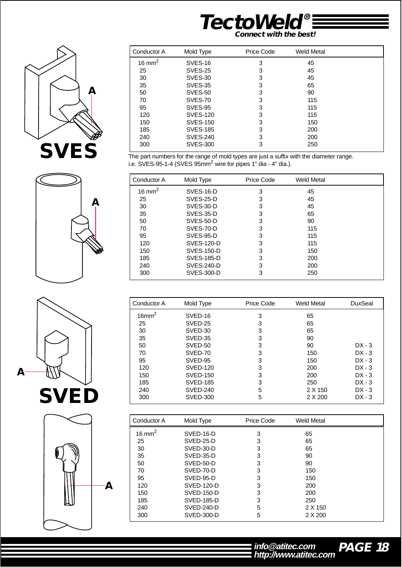![](_page_18_Picture_0.jpeg)

![](_page_18_Picture_1.jpeg)

![](_page_18_Picture_2.jpeg)

![](_page_18_Picture_3.jpeg)

The part numbers for the range of mold types are just a suffix with the diameter range. i.e. SVES-95-1-4 (SVES 95 $mm^2$  wire for pipes 1" dia - 4" dia.).

| Conductor A       | Mold Type         | Price Code | Weld Metal |  |
|-------------------|-------------------|------------|------------|--|
| $16 \text{ mm}^2$ | SVES-16-D         | 3          | 45         |  |
| 25                | SVES-25-D         | 3          | 45         |  |
| 30                | SVES-30-D         | 3          | 45         |  |
| 35                | SVES-35-D         | 3          | 65         |  |
| 50                | SVES-50-D         | 3          | 90         |  |
| 70                | SVES-70-D         | 3          | 115        |  |
| 95                | SVES-95-D         | 3          | 115        |  |
| 120               | SVES-120-D        | 3          | 115        |  |
| 150               | SVES-150-D        | 3          | 150        |  |
| 185               | SVES-185-D        | 3          | 200        |  |
| 240               | <b>SVES-240-D</b> | 3          | 200        |  |
| 300               | SVES-300-D        | 3          | 250        |  |

| Conductor A          | Mold Type       | Price Code | Weld Metal | <b>DuxSeal</b> |
|----------------------|-----------------|------------|------------|----------------|
| $16$ mm <sup>2</sup> | SVED-16         | 3          | 65         |                |
| 25                   | SVED-25         | 3          | 65         |                |
| 30                   | SVED-30         | 3          | 65         |                |
| 35                   | SVED-35         | 3          | 90         |                |
| 50                   | SVED-50         | 3          | 90         | $DX - 3$       |
| 70                   | SVED-70         | 3          | 150        | $DX - 3$       |
| 95                   | SVED-95         | 3          | 150        | $DX - 3$       |
| 120                  | <b>SVED-120</b> | 3          | 200        | $DX - 3$       |
| 150                  | <b>SVED-150</b> | 3          | 200        | $DX - 3$       |
| 185                  | <b>SVED-185</b> | 3          | 250        | $DX - 3$       |
| 240                  | <b>SVED-240</b> | 5          | 2 X 150    | $DX - 3$       |
| 300                  | <b>SVED-300</b> | 5          | 2 X 200    | $DX - 3$       |

| Conductor A        | Mold Type  | Price Code | Weld Metal |  |
|--------------------|------------|------------|------------|--|
| 16 mm <sup>2</sup> | SVED-16-D  | 3          | 65         |  |
| 25                 | SVED-25-D  | 3          | 65         |  |
| 30                 | SVED-30-D  | 3          | 65         |  |
| 35                 | SVED-35-D  | 3          | 90         |  |
| 50                 | SVED-50-D  | 3          | 90         |  |
| 70                 | SVED-70-D  | 3          | 150        |  |
| 95                 | SVED-95-D  | 3          | 150        |  |
| 120                | SVED-120-D | 3          | 200        |  |
| 150                | SVED-150-D | 3          | 200        |  |
| 185                | SVED-185-D | 3          | 250        |  |
| 240                | SVED-240-D | 5          | 2 X 150    |  |
| 300                | SVED-300-D | 5          | 2 X 200    |  |

![](_page_18_Picture_8.jpeg)

![](_page_18_Picture_9.jpeg)

![](_page_18_Picture_10.jpeg)

**PAGE 18 http://www.atitec.com info@atitec.com**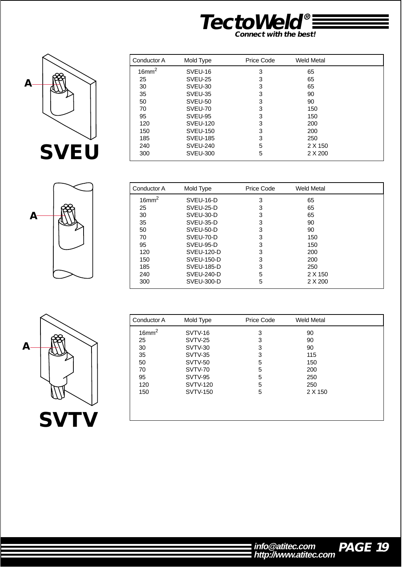![](_page_19_Picture_0.jpeg)

![](_page_19_Picture_1.jpeg)

| Conductor A       | Mold Type       | Price Code | <b>Weld Metal</b> |  |
|-------------------|-----------------|------------|-------------------|--|
| 16mm <sup>2</sup> | SVEU-16         | 3          | 65                |  |
| 25                | SVEU-25         | 3          | 65                |  |
| 30                | SVEU-30         | 3          | 65                |  |
| 35                | SVEU-35         | 3          | 90                |  |
| 50                | SVEU-50         | 3          | 90                |  |
| 70                | SVEU-70         | 3          | 150               |  |
| 95                | SVEU-95         | 3          | 150               |  |
| 120               | <b>SVEU-120</b> | 3          | 200               |  |
| 150               | <b>SVEU-150</b> | 3          | 200               |  |
| 185               | <b>SVEU-185</b> | 3          | 250               |  |
| 240               | SVEU-240        | 5          | 2 X 150           |  |
| 300               | <b>SVEU-300</b> | 5          | 2 X 200           |  |

![](_page_19_Picture_3.jpeg)

| Conductor A          | Mold Type         | Price Code | <b>Weld Metal</b> |  |
|----------------------|-------------------|------------|-------------------|--|
| $16$ mm <sup>2</sup> | SVEU-16-D         | 3          | 65                |  |
| 25                   | SVEU-25-D         | 3          | 65                |  |
| 30                   | SVEU-30-D         | 3          | 65                |  |
| 35                   | SVEU-35-D         | 3          | 90                |  |
| 50                   | SVEU-50-D         | 3          | 90                |  |
| 70                   | SVEU-70-D         | 3          | 150               |  |
| 95                   | SVEU-95-D         | 3          | 150               |  |
| 120                  | <b>SVEU-120-D</b> | 3          | 200               |  |
| 150                  | SVEU-150-D        | 3          | 200               |  |
| 185                  | SVEU-185-D        | 3          | 250               |  |
| 240                  | SVEU-240-D        | 5          | 2 X 150           |  |
| 300                  | SVEU-300-D        | 5          | 2 X 200           |  |

![](_page_19_Picture_5.jpeg)

| Conductor A       | Mold Type       | Price Code | <b>Weld Metal</b> |  |
|-------------------|-----------------|------------|-------------------|--|
| 16mm <sup>2</sup> | SVTV-16         | 3          | 90                |  |
| 25                | SVTV-25         | 3          | 90                |  |
| 30                | SVTV-30         | 3          | 90                |  |
| 35                | <b>SVTV-35</b>  | 3          | 115               |  |
| 50                | SVTV-50         | 5          | 150               |  |
| 70                | SVTV-70         | 5          | 200               |  |
| 95                | SVTV-95         | 5          | 250               |  |
| 120               | <b>SVTV-120</b> | 5          | 250               |  |
| 150               | <b>SVTV-150</b> | 5          | 2 X 150           |  |
|                   |                 |            |                   |  |
|                   |                 |            |                   |  |
|                   |                 |            |                   |  |

![](_page_19_Picture_8.jpeg)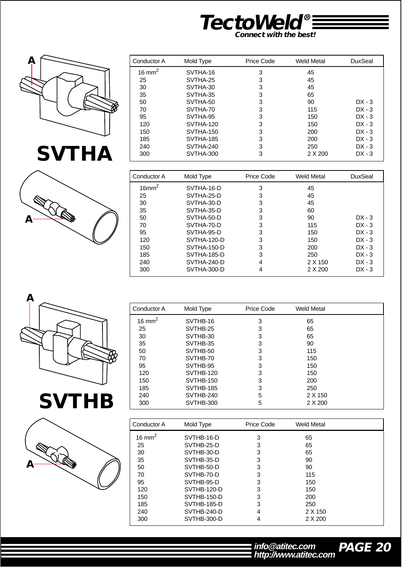![](_page_20_Picture_0.jpeg)

![](_page_20_Picture_1.jpeg)

![](_page_20_Picture_2.jpeg)

![](_page_20_Picture_3.jpeg)

| Conductor A | Mold Type        | Price Code | Weld Metal | DuxSeal  |
|-------------|------------------|------------|------------|----------|
| 16 mm $^2$  | SVTHA-16         | 3          | 45         |          |
| 25          | SVTHA-25         | 3          | 45         |          |
| 30          | SVTHA-30         | 3          | 45         |          |
| 35          | SVTHA-35         | 3          | 65         |          |
| 50          | SVTHA-50         | 3          | 90         | $DX - 3$ |
| 70          | SVTHA-70         | 3          | 115        | $DX - 3$ |
| 95          | SVTHA-95         | 3          | 150        | $DX - 3$ |
| 120         | SVTHA-120        | 3          | 150        | $DX - 3$ |
| 150         | SVTHA-150        | 3          | 200        | $DX - 3$ |
| 185         | <b>SVTHA-185</b> | 3          | 200        | $DX - 3$ |
| 240         | SVTHA-240        | 3          | 250        | $DX - 3$ |
| 300         | SVTHA-300        | 3          | 2 X 200    | $DX - 3$ |

| Conductor A          | Mold Type   | Price Code | Weld Metal | DuxSeal  |
|----------------------|-------------|------------|------------|----------|
| $16$ mm <sup>2</sup> | SVTHA-16-D  | 3          | 45         |          |
| 25                   | SVTHA-25-D  | 3          | 45         |          |
| 30                   | SVTHA-30-D  | 3          | 45         |          |
| 35                   | SVTHA-35-D  | 3          | 60         |          |
| 50                   | SVTHA-50-D  | 3          | 90         | $DX - 3$ |
| 70                   | SVTHA-70-D  | 3          | 115        | $DX - 3$ |
| 95                   | SVTHA-95-D  | 3          | 150        | $DX - 3$ |
| 120                  | SVTHA-120-D | 3          | 150        | $DX - 3$ |
| 150                  | SVTHA-150-D | 3          | 200        | $DX - 3$ |
| 185                  | SVTHA-185-D | 3          | 250        | $DX - 3$ |
| 240                  | SVTHA-240-D | 4          | 2 X 150    | $DX - 3$ |
| 300                  | SVTHA-300-D | 4          | 2 X 200    | $DX - 3$ |

| Α |  |  |
|---|--|--|
|   |  |  |

![](_page_20_Picture_7.jpeg)

![](_page_20_Picture_8.jpeg)

| Conductor A        | Mold Type        | Price Code | <b>Weld Metal</b> |  |
|--------------------|------------------|------------|-------------------|--|
| 16 mm <sup>2</sup> | SVTHB-16         | 3          | 65                |  |
| 25                 | SVTHB-25         | 3          | 65                |  |
| 30                 | SVTHB-30         | 3          | 65                |  |
| 35                 | SVTHB-35         | 3          | 90                |  |
| 50                 | SVTHB-50         | 3          | 115               |  |
| 70                 | SVTHB-70         | 3          | 150               |  |
| 95                 | SVTHB-95         | 3          | 150               |  |
| 120                | SVTHB-120        | 3          | 150               |  |
| 150                | SVTHB-150        | 3          | 200               |  |
| 185                | <b>SVTHB-185</b> | 3          | 250               |  |
| 240                | SVTHB-240        | 5          | 2 X 150           |  |
| 300                | SVTHB-300        | 5          | 2 X 200           |  |

| Conductor A        | Mold Type          | Price Code | <b>Weld Metal</b> |  |
|--------------------|--------------------|------------|-------------------|--|
| 16 mm <sup>2</sup> | SVTHB-16-D         | 3          | 65                |  |
| 25                 | SVTHB-25-D         | 3          | 65                |  |
| 30                 | SVTHB-30-D         | 3          | 65                |  |
| 35                 | SVTHB-35-D         | 3          | 90                |  |
| 50                 | SVTHB-50-D         | 3          | 90                |  |
| 70                 | SVTHB-70-D         | 3          | 115               |  |
| 95                 | SVTHB-95-D         | 3          | 150               |  |
| 120                | SVTHB-120-D        | 3          | 150               |  |
| 150                | <b>SVTHB-150-D</b> | 3          | 200               |  |
| 185                | SVTHB-185-D        | 3          | 250               |  |
| 240                | SVTHB-240-D        | 4          | 2 X 150           |  |
| 300                | SVTHB-300-D        | 4          | 2 X 200           |  |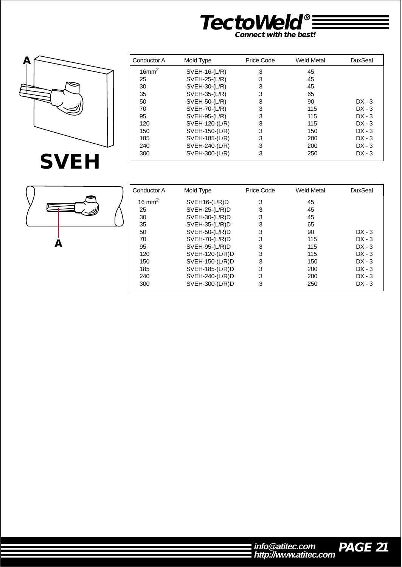![](_page_21_Picture_0.jpeg)

![](_page_21_Picture_1.jpeg)

| Conductor A          | Mold Type            | Price Code | <b>Weld Metal</b> | DuxSeal  |
|----------------------|----------------------|------------|-------------------|----------|
| $16$ mm <sup>2</sup> | $SVEH-16-(L/R)$      | 3          | 45                |          |
| 25                   | SVEH-25-(L/R)        | 3          | 45                |          |
| 30                   | SVEH-30-(L/R)        | 3          | 45                |          |
| 35                   | SVEH-35-(L/R)        | 3          | 65                |          |
| 50                   | SVEH-50-(L/R)        | 3          | 90                | $DX - 3$ |
| 70                   | <b>SVEH-70-(L/R)</b> | 3          | 115               | $DX - 3$ |
| 95                   | SVEH-95-(L/R)        | 3          | 115               | $DX - 3$ |
| 120                  | SVEH-120-(L/R)       | 3          | 115               | $DX - 3$ |
| 150                  | SVEH-150-(L/R)       | 3          | 150               | $DX - 3$ |
| 185                  | SVEH-185-(L/R)       | 3          | 200               | $DX - 3$ |
| 240                  | SVEH-240-(L/R)       | 3          | 200               | $DX - 3$ |
| 300                  | SVEH-300-(L/R)       | 3          | 250               | $DX - 3$ |

![](_page_21_Picture_3.jpeg)

| Conductor A                           | Mold Type        | Price Code<br>Weld Metal |     | <b>DuxSeal</b> |
|---------------------------------------|------------------|--------------------------|-----|----------------|
| 16 mm <sup>2</sup><br>$SVEH16-(L/R)D$ |                  | 3                        | 45  |                |
| 25                                    | $SVEH-25-(L/R)D$ | 3                        | 45  |                |
| 30                                    | $SVEH-30-(L/R)D$ | 3                        | 45  |                |
| 35                                    | $SVEH-35-(L/R)D$ | 3                        | 65  |                |
| 50                                    | $SVEH-50-(L/R)D$ | 3                        | 90  | $DX - 3$       |
| 70                                    | $SVEH-70-(L/R)D$ | 3                        | 115 | $DX - 3$       |
| 95                                    | $SVEH-95-(L/R)D$ | 3                        | 115 | $DX - 3$       |
| 120                                   | SVEH-120-(L/R)D  | 3                        | 115 | $DX - 3$       |
| 150                                   | SVEH-150-(L/R)D  | 3                        | 150 | $DX - 3$       |
| 185                                   | SVEH-185-(L/R)D  | 3                        | 200 | $DX - 3$       |
| $SVEH-240-(L/R)D$<br>240              |                  | 3                        | 200 | $DX - 3$       |
| 300                                   | SVEH-300-(L/R)D  | 3                        | 250 | $DX - 3$       |

![](_page_21_Picture_5.jpeg)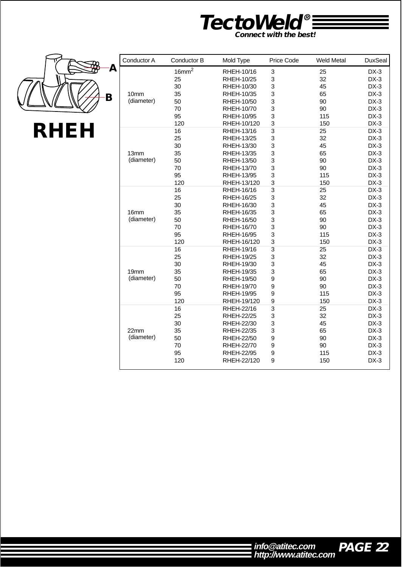![](_page_22_Picture_0.jpeg)

![](_page_22_Picture_1.jpeg)

| Conductor A      | Conductor B       | Mold Type         | Price Code                | <b>Weld Metal</b> | <b>DuxSeal</b> |
|------------------|-------------------|-------------------|---------------------------|-------------------|----------------|
|                  | 16mm <sup>2</sup> | RHEH-10/16        | 3                         | 25                | $DX-3$         |
|                  | 25                | RHEH-10/25        | 3                         | 32                | $DX-3$         |
|                  | 30                | RHEH-10/30        | 3                         | 45                | $DX-3$         |
| 10 <sub>mm</sub> | 35                | RHEH-10/35        | 3                         | 65                | $DX-3$         |
| (diameter)       | 50                | RHEH-10/50        | 3                         | 90                | $DX-3$         |
|                  | 70                | RHEH-10/70        | 3                         | 90                | $DX-3$         |
|                  | 95                | RHEH-10/95        | 3                         | 115               | $DX-3$         |
|                  | 120               | RHEH-10/120       | 3                         | 150               | $DX-3$         |
|                  | 16                | RHEH-13/16        | 3                         | 25                | $DX-3$         |
|                  | 25                | RHEH-13/25        | 3                         | 32                | $DX-3$         |
|                  | 30                | RHEH-13/30        | 3                         | 45                | $DX-3$         |
| 13mm             | 35                | RHEH-13/35        | 3                         | 65                | $DX-3$         |
| (diameter)       | 50                | RHEH-13/50        | 3                         | 90                | $DX-3$         |
|                  | 70                | RHEH-13/70        | 3                         | 90                | $DX-3$         |
|                  | 95                | RHEH-13/95        | 3                         | 115               | $DX-3$         |
|                  | 120               | RHEH-13/120       | 3                         | 150               | $DX-3$         |
|                  | 16                | RHEH-16/16        | 3                         | 25                | $DX-3$         |
|                  | 25                | RHEH-16/25        | 3                         | 32                | $DX-3$         |
|                  | 30                | RHEH-16/30        | 3                         | 45                | $DX-3$         |
| 16 <sub>mm</sub> | 35                | RHEH-16/35        | 3                         | 65                | $DX-3$         |
| (diameter)       | 50                | RHEH-16/50        | 3                         | 90                | $DX-3$         |
|                  | 70                | RHEH-16/70        | 3                         | 90                | $DX-3$         |
|                  | 95                | RHEH-16/95        | 3                         | 115               | $DX-3$         |
|                  | 120               | RHEH-16/120       | 3                         | 150               | $DX-3$         |
|                  | $\overline{16}$   | RHEH-19/16        | $\overline{\overline{3}}$ | $\overline{25}$   | $DX-3$         |
|                  | 25                | <b>RHEH-19/25</b> | 3                         | 32                | $DX-3$         |
|                  | 30                | RHEH-19/30        | 3                         | 45                | $DX-3$         |
| 19mm             | 35                | RHEH-19/35        | 3                         | 65                | $DX-3$         |
| (diameter)       | 50                | RHEH-19/50        | 9                         | 90                | $DX-3$         |
|                  | 70                | RHEH-19/70        | 9                         | 90                | $DX-3$         |
|                  | 95                | RHEH-19/95        | 9                         | 115               | $DX-3$         |
|                  | 120               | RHEH-19/120       | 9                         | 150               | $DX-3$         |
|                  | 16                | RHEH-22/16        | 3                         | 25                | $DX-3$         |
|                  | 25                | <b>RHEH-22/25</b> | 3                         | 32                | $DX-3$         |
|                  | 30                | RHEH-22/30        | 3                         | 45                | $DX-3$         |
| 22mm             | 35                | RHEH-22/35        | 3                         | 65                | $DX-3$         |
| (diameter)       | 50                | <b>RHEH-22/50</b> | 9                         | 90                | $DX-3$         |
|                  | 70                | RHEH-22/70        | 9                         | 90                | $DX-3$         |
|                  | 95                | <b>RHEH-22/95</b> | 9                         | 115               | $DX-3$         |
|                  | 120               | RHEH-22/120       | 9                         | 150               | $DX-3$         |

![](_page_22_Picture_4.jpeg)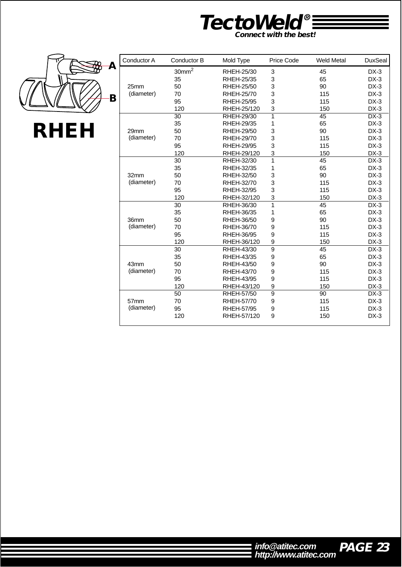![](_page_23_Picture_0.jpeg)

![](_page_23_Picture_1.jpeg)

| Conductor A | Conductor B       | Mold Type         | Price Code     | <b>Weld Metal</b> | <b>DuxSeal</b> |
|-------------|-------------------|-------------------|----------------|-------------------|----------------|
|             | 30mm <sup>2</sup> | RHEH-25/30        | 3              | 45                | $DX-3$         |
|             | 35                | RHEH-25/35        | 3              | 65                | $DX-3$         |
| 25mm        | 50                | RHEH-25/50        | 3              | 90                | $DX-3$         |
| (diameter)  | 70                | RHEH-25/70        | 3              | 115               | $DX-3$         |
|             | 95                | <b>RHEH-25/95</b> | 3              | 115               | $DX-3$         |
|             | 120               | RHEH-25/120       | 3              | 150               | $DX-3$         |
|             | 30                | RHEH-29/30        | 1              | $\overline{45}$   | $DX-3$         |
|             | 35                | RHEH-29/35        | 1              | 65                | $DX-3$         |
| 29mm        | 50                | RHEH-29/50        | 3              | 90                | $DX-3$         |
| (diameter)  | 70                | RHEH-29/70        | 3              | 115               | $DX-3$         |
|             | 95                | RHEH-29/95        | 3              | 115               | $DX-3$         |
|             | 120               | RHEH-29/120       | 3              | 150               | $DX-3$         |
|             | 30                | RHEH-32/30        | 1              | 45                | $DX-3$         |
|             | 35                | RHEH-32/35        | 1              | 65                | $DX-3$         |
| 32mm        | 50                | RHEH-32/50        | 3              | 90                | $DX-3$         |
| (diameter)  | 70                | RHEH-32/70        | 3              | 115               | $DX-3$         |
|             | 95                | RHEH-32/95        | 3              | 115               | $DX-3$         |
|             | 120               | RHEH-32/120       | 3              | 150               | $DX-3$         |
|             | 30                | RHEH-36/30        | 1              | 45                | $DX-3$         |
|             | 35                | RHEH-36/35        | 1              | 65                | $DX-3$         |
| 36mm        | 50                | RHEH-36/50        | 9              | 90                | $DX-3$         |
| (diameter)  | 70                | RHEH-36/70        | 9              | 115               | $DX-3$         |
|             | 95                | RHEH-36/95        | 9              | 115               | $DX-3$         |
|             | 120               | RHEH-36/120       | 9              | 150               | $DX-3$         |
|             | 30                | RHEH-43/30        | 9              | 45                | $DX-3$         |
|             | 35                | RHEH-43/35        | 9              | 65                | $DX-3$         |
| 43mm        | 50                | RHEH-43/50        | 9              | 90                | $DX-3$         |
| (diameter)  | 70                | RHEH-43/70        | 9              | 115               | $DX-3$         |
|             | 95                | RHEH-43/95        | 9              | 115               | $DX-3$         |
|             | 120               | RHEH-43/120       | 9              | 150               | $DX-3$         |
|             | 50                | RHEH-57/50        | $\overline{9}$ | 90                | $DX-3$         |
| 57mm        | 70                | RHEH-57/70        | 9              | 115               | $DX-3$         |
| (diameter)  | 95                | RHEH-57/95        | 9              | 115               | $DX-3$         |
|             | 120               | RHEH-57/120       | 9              | 150               | $DX-3$         |

![](_page_23_Picture_4.jpeg)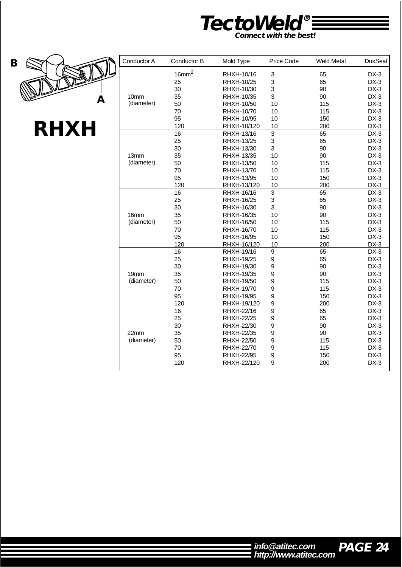![](_page_24_Picture_0.jpeg)

![](_page_24_Picture_1.jpeg)

**RHXH**

| Conductor A      | Conductor B       | Mold Type         | Price Code     | <b>Weld Metal</b> | <b>DuxSeal</b> |
|------------------|-------------------|-------------------|----------------|-------------------|----------------|
|                  | 16mm <sup>2</sup> | RHXH-10/16        | 3              | 65                | $DX-3$         |
|                  | 25                | RHXH-10/25        | 3              | 65                | $DX-3$         |
|                  | 30                | RHXH-10/30        | 3              | 90                | $DX-3$         |
| 10mm             | 35                | RHXH-10/35        | 3              | 90                | $DX-3$         |
| (diameter)       | 50                | RHXH-10/50        | 10             | 115               | $DX-3$         |
|                  | 70                | RHXH-10/70        | 10             | 115               | $DX-3$         |
|                  | 95                | RHXH-10/95        | 10             | 150               | $DX-3$         |
|                  | 120               | RHXH-10/120       | 10             | 200               | $DX-3$         |
|                  | 16                | RHXH-13/16        | 3              | 65                | $DX-3$         |
|                  | 25                | RHXH-13/25        | 3              | 65                | $DX-3$         |
|                  | 30                | RHXH-13/30        | 3              | 90                | $DX-3$         |
| 13 <sub>mm</sub> | 35                | RHXH-13/35        | 10             | 90                | $DX-3$         |
| (diameter)       | 50                | RHXH-13/50        | 10             | 115               | $DX-3$         |
|                  | 70                | RHXH-13/70        | 10             | 115               | $DX-3$         |
|                  | 95                | RHXH-13/95        | 10             | 150               | $DX-3$         |
|                  | 120               | RHXH-13/120       | 10             | 200               | $DX-3$         |
|                  | 16                | RHXH-16/16        | 3              | 65                | $DX-3$         |
|                  | 25                | RHXH-16/25        | 3              | 65                | $DX-3$         |
|                  | 30                | RHXH-16/30        | 3              | 90                | $DX-3$         |
| 16 <sub>mm</sub> | 35                | RHXH-16/35        | 10             | 90                | $DX-3$         |
| (diameter)       | 50                | RHXH-16/50        | 10             | 115               | $DX-3$         |
|                  | 70                | RHXH-16/70        | 10             | 115               | $DX-3$         |
|                  | 95                | RHXH-16/95        | 10             | 150               | $DX-3$         |
|                  | 120               | RHXH-16/120       | 10             | 200               | $DX-3$         |
|                  | 16                | RHXH-19/16        | 9              | 65                | $DX-3$         |
|                  | 25                | <b>RHXH-19/25</b> | 9              | 65                | $DX-3$         |
|                  | 30                | RHXH-19/30        | 9              | 90                | $DX-3$         |
| 19 <sub>mm</sub> | 35                | RHXH-19/35        | 9              | 90                | $DX-3$         |
| (diameter)       | 50                | RHXH-19/50        | 9              | 115               | $DX-3$         |
|                  | 70                | RHXH-19/70        | 9              | 115               | $DX-3$         |
|                  | 95                | <b>RHXH-19/95</b> | 9              | 150               | $DX-3$         |
|                  | 120               | RHXH-19/120       | 9              | 200               | $DX-3$         |
|                  | $\overline{16}$   | RHXH-22/16        | $\overline{9}$ | 65                | $DX-3$         |
|                  | 25                | <b>RHXH-22/25</b> | 9              | 65                | $DX-3$         |
|                  | 30                | RHXH-22/30        | 9              | 90                | $DX-3$         |
| 22mm             | 35                | RHXH-22/35        | 9              | 90                | $DX-3$         |
| (diameter)       | 50                | <b>RHXH-22/50</b> | 9              | 115               | $DX-3$         |
|                  | 70                | RHXH-22/70        | 9              | 115               | $DX-3$         |
|                  | 95                | <b>RHXH-22/95</b> | 9              | 150               | $DX-3$         |
|                  | 120               | RHXH-22/120       | 9              | 200               | $DX-3$         |
|                  |                   |                   |                |                   |                |

![](_page_24_Picture_5.jpeg)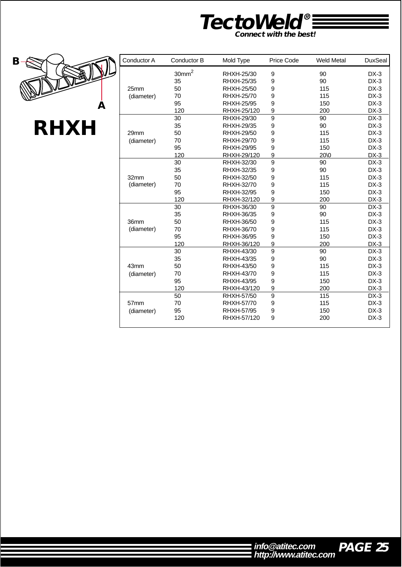![](_page_25_Picture_0.jpeg)

![](_page_25_Picture_1.jpeg)

| Conductor A      | Conductor B       | Mold Type         | <b>Price Code</b> | <b>Weld Metal</b> | <b>DuxSeal</b> |
|------------------|-------------------|-------------------|-------------------|-------------------|----------------|
|                  | 30mm <sup>2</sup> | RHXH-25/30        | 9                 | 90                | $DX-3$         |
|                  | 35                | RHXH-25/35        | 9                 | 90                | $DX-3$         |
| 25 <sub>mm</sub> | 50                | RHXH-25/50        | 9                 | 115               | $DX-3$         |
| (diameter)       | 70                | RHXH-25/70        | 9                 | 115               | $DX-3$         |
|                  | 95                | <b>RHXH-25/95</b> | 9                 | 150               | $DX-3$         |
|                  | 120               | RHXH-25/120       | 9                 | 200               | $DX-3$         |
|                  | 30                | RHXH-29/30        | 9                 | 90                | $DX-3$         |
|                  | 35                | RHXH-29/35        | 9                 | 90                | $DX-3$         |
| 29mm             | 50                | RHXH-29/50        | 9                 | 115               | $DX-3$         |
| (diameter)       | 70                | RHXH-29/70        | 9                 | 115               | $DX-3$         |
|                  | 95                | <b>RHXH-29/95</b> | 9                 | 150               | $DX-3$         |
|                  | 120               | RHXH-29/120       | 9                 | 20\0              | $DX-3$         |
|                  | 30                | RHXH-32/30        | 9                 | 90                | $DX-3$         |
|                  | 35                | RHXH-32/35        | 9                 | 90                | $DX-3$         |
| 32mm             | 50                | RHXH-32/50        | 9                 | 115               | $DX-3$         |
| (diameter)       | 70                | RHXH-32/70        | 9                 | 115               | $DX-3$         |
|                  | 95                | RHXH-32/95        | 9                 | 150               | $DX-3$         |
|                  | 120               | RHXH-32/120       | 9                 | 200               | $DX-3$         |
|                  | 30                | RHXH-36/30        | 9                 | 90                | $DX-3$         |
|                  | 35                | RHXH-36/35        | 9                 | 90                | $DX-3$         |
| 36mm             | 50                | RHXH-36/50        | 9                 | 115               | $DX-3$         |
| (diameter)       | 70                | RHXH-36/70        | 9                 | 115               | $DX-3$         |
|                  | 95                | RHXH-36/95        | 9                 | 150               | $DX-3$         |
|                  | 120               | RHXH-36/120       | 9                 | 200               | $DX-3$         |
|                  | 30                | RHXH-43/30        | 9                 | 90                | $DX-3$         |
|                  | 35                | RHXH-43/35        | 9                 | 90                | $DX-3$         |
| 43mm             | 50                | RHXH-43/50        | 9                 | 115               | $DX-3$         |
| (diameter)       | 70                | RHXH-43/70        | 9                 | 115               | $DX-3$         |
|                  | 95                | RHXH-43/95        | 9                 | 150               | $DX-3$         |
|                  | 120               | RHXH-43/120       | 9                 | 200               | $DX-3$         |
|                  | 50                | <b>RHXH-57/50</b> | 9                 | 115               | $DX-3$         |
| 57mm             | 70                | RHXH-57/70        | 9                 | 115               | $DX-3$         |
| (diameter)       | 95                | <b>RHXH-57/95</b> | 9                 | 150               | $DX-3$         |
|                  | 120               | RHXH-57/120       | 9                 | 200               | $DX-3$         |
|                  |                   |                   |                   |                   |                |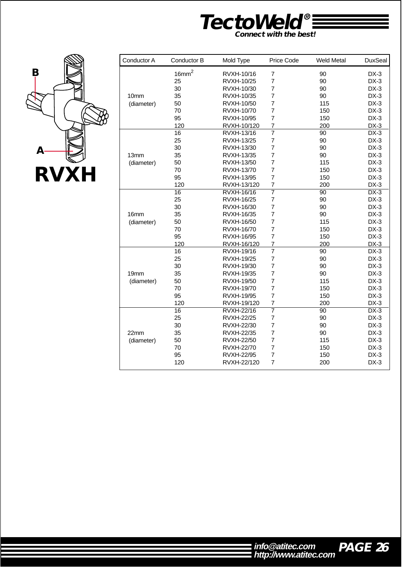![](_page_26_Picture_0.jpeg)

![](_page_26_Picture_1.jpeg)

| Conductor A | Conductor B       | Mold Type         | Price Code              | <b>Weld Metal</b> | <b>DuxSeal</b> |
|-------------|-------------------|-------------------|-------------------------|-------------------|----------------|
|             | 16mm <sup>2</sup> | RVXH-10/16        | $\overline{7}$          | 90                | $DX-3$         |
|             | 25                | RVXH-10/25        | $\overline{7}$          | 90                | $DX-3$         |
|             | 30                | RVXH-10/30        | $\overline{7}$          | 90                | $DX-3$         |
| 10mm        | 35                | RVXH-10/35        | 7                       | 90                | $DX-3$         |
| (diameter)  | 50                | RVXH-10/50        | $\overline{7}$          | 115               | $DX-3$         |
|             | 70                | RVXH-10/70        | $\overline{7}$          | 150               | $DX-3$         |
|             | 95                | RVXH-10/95        | 7                       | 150               | $DX-3$         |
|             | 120               | RVXH-10/120       | 7                       | 200               | $DX-3$         |
|             | 16                | RVXH-13/16        | $\overline{7}$          | 90                | $DX-3$         |
|             | 25                | RVXH-13/25        | $\overline{7}$          | 90                | $DX-3$         |
|             | 30                | RVXH-13/30        | $\overline{7}$          | 90                | $DX-3$         |
| 13mm        | 35                | RVXH-13/35        | $\overline{7}$          | 90                | $DX-3$         |
| (diameter)  | 50                | RVXH-13/50        | $\overline{7}$          | 115               | $DX-3$         |
|             | 70                | RVXH-13/70        | $\overline{7}$          | 150               | $DX-3$         |
|             | 95                | RVXH-13/95        | 7                       | 150               | $DX-3$         |
|             | 120               | RVXH-13/120       | $\overline{7}$          | 200               | $DX-3$         |
|             | 16                | RVXH-16/16        | 7                       | $\overline{90}$   | $DX-3$         |
|             | 25                | <b>RVXH-16/25</b> | $\overline{\mathbf{7}}$ | 90                | $DX-3$         |
|             | 30                | RVXH-16/30        | $\overline{7}$          | 90                | $DX-3$         |
| 16mm        | 35                | RVXH-16/35        | 7                       | 90                | $DX-3$         |
| (diameter)  | 50                | RVXH-16/50        | $\overline{7}$          | 115               | $DX-3$         |
|             | 70                | RVXH-16/70        | $\overline{7}$          | 150               | $DX-3$         |
|             | 95                | <b>RVXH-16/95</b> | $\overline{7}$          | 150               | $DX-3$         |
|             | 120               | RVXH-16/120       | 7                       | 200               | $DX-3$         |
|             | 16                | RVXH-19/16        | $\overline{7}$          | 90                | $DX-3$         |
|             | 25                | <b>RVXH-19/25</b> | $\overline{7}$          | 90                | $DX-3$         |
|             | 30                | RVXH-19/30        | 7                       | 90                | $DX-3$         |
| 19mm        | 35                | RVXH-19/35        | 7                       | 90                | $DX-3$         |
| (diameter)  | 50                | RVXH-19/50        | $\overline{7}$          | 115               | $DX-3$         |
|             | 70                | RVXH-19/70        | $\overline{7}$          | 150               | $DX-3$         |
|             | 95                | RVXH-19/95        | 7                       | 150               | $DX-3$         |
|             | 120               | RVXH-19/120       | 7                       | 200               | $DX-3$         |
|             | 16                | <b>RVXH-22/16</b> | $\overline{7}$          | 90                | $DX-3$         |
|             | 25                | <b>RVXH-22/25</b> | $\overline{7}$          | 90                | $DX-3$         |
|             | 30                | RVXH-22/30        | $\overline{7}$          | 90                | $DX-3$         |
| 22mm        | 35                | RVXH-22/35        | 7                       | 90                | $DX-3$         |
| (diameter)  | 50                | <b>RVXH-22/50</b> | $\overline{7}$          | 115               | $DX-3$         |
|             | 70                | <b>RVXH-22/70</b> | 7                       | 150               | $DX-3$         |
|             | 95                | RVXH-22/95        | $\overline{7}$          | 150               | $DX-3$         |
|             | 120               | RVXH-22/120       | 7                       | 200               | $DX-3$         |
|             |                   |                   |                         |                   |                |

![](_page_26_Picture_4.jpeg)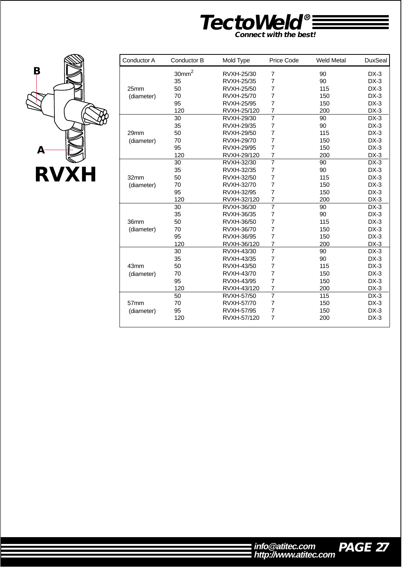![](_page_27_Picture_0.jpeg)

![](_page_27_Picture_1.jpeg)

| Conductor A | Conductor B       | Mold Type         | Price Code     | <b>Weld Metal</b> | <b>DuxSeal</b> |
|-------------|-------------------|-------------------|----------------|-------------------|----------------|
|             | 30mm <sup>2</sup> | RVXH-25/30        | $\overline{7}$ | 90                | $DX-3$         |
|             | 35                | RVXH-25/35        | $\overline{7}$ | 90                | $DX-3$         |
| 25mm        | 50                | RVXH-25/50        | 7              | 115               | $DX-3$         |
| (diameter)  | 70                | <b>RVXH-25/70</b> | 7              | 150               | $DX-3$         |
|             | 95                | <b>RVXH-25/95</b> | $\overline{7}$ | 150               | $DX-3$         |
|             | 120               | RVXH-25/120       | 7              | 200               | $DX-3$         |
|             | 30                | RVXH-29/30        | $\overline{7}$ | 90                | $DX-3$         |
|             | 35                | RVXH-29/35        | 7              | 90                | $DX-3$         |
| 29mm        | 50                | RVXH-29/50        | 7              | 115               | $DX-3$         |
| (diameter)  | 70                | RVXH-29/70        | 7              | 150               | $DX-3$         |
|             | 95                | <b>RVXH-29/95</b> | 7              | 150               | $DX-3$         |
|             | 120               | RVXH-29/120       | 7              | 200               | $DX-3$         |
|             | 30                | RVXH-32/30        | $\overline{7}$ | 90                | $DX-3$         |
|             | 35                | RVXH-32/35        | $\overline{7}$ | 90                | $DX-3$         |
| 32mm        | 50                | RVXH-32/50        | 7              | 115               | $DX-3$         |
| (diameter)  | 70                | RVXH-32/70        | $\overline{7}$ | 150               | $DX-3$         |
|             | 95                | RVXH-32/95        | $\overline{7}$ | 150               | $DX-3$         |
|             | 120               | RVXH-32/120       | 7              | 200               | $DX-3$         |
|             | 30                | RVXH-36/30        | $\overline{7}$ | 90                | $DX-3$         |
|             | 35                | RVXH-36/35        | $\overline{7}$ | 90                | $DX-3$         |
| 36mm        | 50                | RVXH-36/50        | 7              | 115               | $DX-3$         |
| (diameter)  | 70                | RVXH-36/70        | 7              | 150               | $DX-3$         |
|             | 95                | RVXH-36/95        | $\overline{7}$ | 150               | $DX-3$         |
|             | 120               | RVXH-36/120       | $\overline{7}$ | 200               | $DX-3$         |
|             | 30                | RVXH-43/30        | $\overline{7}$ | 90                | $DX-3$         |
|             | 35                | RVXH-43/35        | 7              | 90                | $DX-3$         |
| 43mm        | 50                | RVXH-43/50        | $\overline{7}$ | 115               | $DX-3$         |
| (diameter)  | 70                | RVXH-43/70        | 7              | 150               | $DX-3$         |
|             | 95                | RVXH-43/95        | 7              | 150               | $DX-3$         |
|             | 120               | RVXH-43/120       | 7              | 200               | $DX-3$         |
|             | 50                | RVXH-57/50        | $\overline{7}$ | 115               | $DX-3$         |
| 57mm        | 70                | <b>RVXH-57/70</b> | $\overline{7}$ | 150               | $DX-3$         |
| (diameter)  | 95                | <b>RVXH-57/95</b> | $\overline{7}$ | 150               | $DX-3$         |
|             | 120               | RVXH-57/120       | $\overline{7}$ | 200               | $DX-3$         |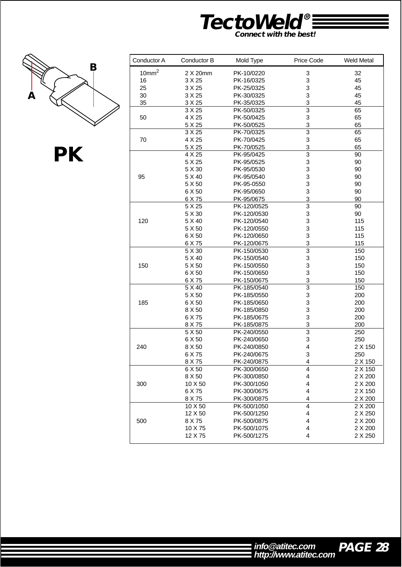![](_page_28_Picture_0.jpeg)

![](_page_28_Picture_1.jpeg)

**PK**

| Conductor A       | Conductor B       | Mold Type                  | Price Code              | <b>Weld Metal</b>  |
|-------------------|-------------------|----------------------------|-------------------------|--------------------|
| 10mm <sup>2</sup> | 2 X 20mm          | PK-10/0220                 | 3                       | 32                 |
| 16                | 3 X 25            | PK-16/0325                 | 3                       | 45                 |
| 25                | 3 X 25            | PK-25/0325                 | 3                       | 45                 |
| 30                | 3 X 25            | PK-30/0325                 | 3                       | 45                 |
| 35                | 3 X 25            | PK-35/0325                 | 3                       | 45                 |
|                   | 3 X 25            | PK-50/0325                 | $\overline{3}$          | 65                 |
| 50                | 4 X 25            | PK-50/0425                 | 3                       | 65                 |
|                   | 5 X 25            | PK-50/0525                 | 3                       | 65                 |
|                   | 3 X 25            | PK-70/0325                 | $\overline{3}$          | 65                 |
| 70                | 4 X 25            | PK-70/0425                 | 3                       | 65                 |
|                   | 5 X 25            | PK-70/0525                 | 3                       | 65                 |
|                   | 4 X 25            | PK-95/0425                 | $\overline{3}$          | 90                 |
|                   | 5 X 25            | PK-95/0525                 | 3                       | 90                 |
|                   | 5 X 30            | PK-95/0530                 | 3                       | 90                 |
| 95                | 5 X 40            | PK-95/0540                 | 3                       | 90                 |
|                   | 5 X 50            | PK-95-0550                 | 3                       | 90                 |
|                   | 6 X 50            | PK-95/0650                 | 3                       | 90                 |
|                   | 6 X 75            | PK-95/0675                 | 3                       | 90                 |
|                   | 5 X 25            | PK-120/0525                | 3                       | 90                 |
|                   | 5 X 30            | PK-120/0530                | 3                       | 90                 |
| 120               | 5 X 40            | PK-120/0540                | 3                       | 115                |
|                   | 5 X 50            | PK-120/0550                | 3                       | 115                |
|                   | 6 X 50            | PK-120/0650                | 3                       | 115                |
|                   | 6 X 75            | PK-120/0675                | 3                       | 115                |
|                   | 5 X 30            | PK-150/0530                | $\overline{3}$          | 150                |
|                   | 5 X 40            | PK-150/0540                | 3                       | 150                |
| 150               | 5 X 50            | PK-150/0550                | 3                       | 150                |
|                   | 6 X 50            | PK-150/0650                | 3                       | 150                |
|                   | 6 X 75            | PK-150/0675                | 3                       | 150                |
|                   | 5 X 40            | PK-185/0540                | $\overline{3}$          | 150                |
|                   | 5 X 50            | PK-185/0550                | 3                       | 200                |
| 185               | 6 X 50            | PK-185/0650                | 3                       | 200                |
|                   | 8 X 50            | PK-185/0850                | 3                       | 200                |
|                   | 6 X 75            | PK-185/0675                | 3                       | 200                |
|                   | 8 X 75            | PK-185/0875                | 3                       | 200                |
|                   | 5 X 50            | PK-240/0550                | $\overline{3}$          | 250                |
|                   | 6 X 50            | PK-240/0650                | 3                       | 250                |
| 240               | 8 X 50            | PK-240/0850                | $\overline{\mathbf{4}}$ | 2 X 150            |
|                   | 6 X 75            | PK-240/0675                | 3                       | 250                |
|                   |                   | PK-240/0875                |                         | 2 X 150            |
|                   | 8 X 75<br>6 X 50  | PK-300/0650                | 4<br>$\overline{4}$     | 2 X 150            |
|                   |                   |                            | 4                       |                    |
|                   | 8 X 50<br>10 X 50 | PK-300/0850<br>PK-300/1050 |                         | 2 X 200<br>2 X 200 |
| 300               |                   |                            | 4                       |                    |
|                   | 6 X 75            | PK-300/0675                | 4                       | 2 X 150            |
|                   | 8 X 75            | PK-300/0875                | 4                       | 2 X 200            |
|                   | 10 X 50           | PK-500/1050                | 4                       | 2 X 200            |
|                   | 12 X 50           | PK-500/1250                | 4                       | 2 X 250            |
| 500               | 8 X 75            | PK-500/0875                | 4                       | 2 X 200            |
|                   | 10 X 75           | PK-500/1075                | 4                       | 2 X 200            |
|                   | 12 X 75           | PK-500/1275                | 4                       | 2 X 250            |

![](_page_28_Picture_5.jpeg)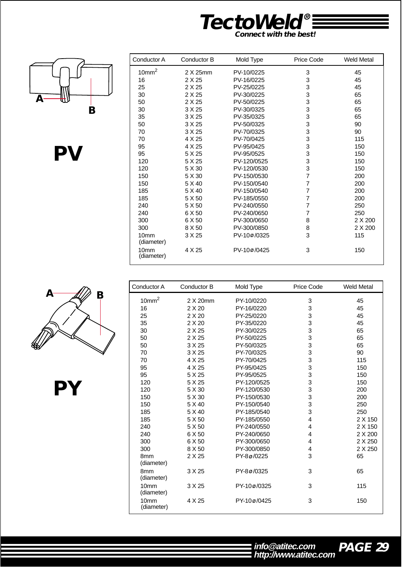![](_page_29_Picture_0.jpeg)

![](_page_29_Picture_1.jpeg)

![](_page_29_Picture_2.jpeg)

| Conductor A                    | Conductor B | Mold Type   | Price Code     | <b>Weld Metal</b> |
|--------------------------------|-------------|-------------|----------------|-------------------|
| 10mm <sup>2</sup>              | 2 X 25mm    | PV-10/0225  | 3              | 45                |
| 16                             | 2 X 25      | PV-16/0225  | 3              | 45                |
| 25                             | 2 X 25      | PV-25/0225  | 3              | 45                |
| 30                             | 2 X 25      | PV-30/0225  | 3              | 65                |
| 50                             | 2 X 25      | PV-50/0225  | 3              | 65                |
| 30                             | 3 X 25      | PV-30/0325  | 3              | 65                |
| 35                             | 3 X 25      | PV-35/0325  | 3              | 65                |
| 50                             | 3 X 25      | PV-50/0325  | 3              | 90                |
| 70                             | 3 X 25      | PV-70/0325  | 3              | 90                |
| 70                             | 4 X 25      | PV-70/0425  | 3              | 115               |
| 95                             | 4 X 25      | PV-95/0425  | 3              | 150               |
| 95                             | 5 X 25      | PV-95/0525  | 3              | 150               |
| 120                            | 5 X 25      | PV-120/0525 | 3              | 150               |
| 120                            | 5 X 30      | PV-120/0530 | 3              | 150               |
| 150                            | 5 X 30      | PV-150/0530 | $\overline{7}$ | 200               |
| 150                            | 5 X 40      | PV-150/0540 | 7              | 200               |
| 185                            | 5 X 40      | PV-150/0540 | $\overline{7}$ | 200               |
| 185                            | 5 X 50      | PV-185/0550 | 7              | 200               |
| 240                            | 5 X 50      | PV-240/0550 | $\overline{7}$ | 250               |
| 240                            | 6 X 50      | PV-240/0650 | $\overline{7}$ | 250               |
| 300                            | 6 X 50      | PV-300/0650 | 8              | 2 X 200           |
| 300                            | 8 X 50      | PV-300/0850 | 8              | 2 X 200           |
| 10mm<br>(diameter)             | 3 X 25      | PV-10ø/0325 | 3              | 115               |
| 10 <sub>mm</sub><br>(diameter) | 4 X 25      | PV-100/0425 | 3              | 150               |

| Conductor A                    | Conductor B | Mold Type   | Price Code | <b>Weld Metal</b> |
|--------------------------------|-------------|-------------|------------|-------------------|
| 10mm <sup>2</sup>              | 2 X 20mm    | PY-10/0220  | 3          | 45                |
| 16                             | 2 X 20      | PY-16/0220  | 3          | 45                |
| 25                             | 2 X 20      | PY-25/0220  | 3          | 45                |
| 35                             | 2 X 20      | PY-35/0220  | 3          | 45                |
| 30                             | 2 X 25      | PY-30/0225  | 3          | 65                |
| 50                             | 2 X 25      | PY-50/0225  | 3          | 65                |
| 50                             | 3 X 25      | PY-50/0325  | 3          | 65                |
| 70                             | 3 X 25      | PY-70/0325  | 3          | 90                |
| 70                             | 4 X 25      | PY-70/0425  | 3          | 115               |
| 95                             | 4 X 25      | PY-95/0425  | 3          | 150               |
| 95                             | 5 X 25      | PY-95/0525  | 3          | 150               |
| 120                            | 5 X 25      | PY-120/0525 | 3          | 150               |
| 120                            | 5 X 30      | PY-120/0530 | 3          | 200               |
| 150                            | 5 X 30      | PY-150/0530 | 3          | 200               |
| 150                            | 5 X 40      | PY-150/0540 | 3          | 250               |
| 185                            | 5 X 40      | PY-185/0540 | 3          | 250               |
| 185                            | 5 X 50      | PY-185/0550 | 4          | 2 X 150           |
| 240                            | 5 X 50      | PY-240/0550 | 4          | 2 X 150           |
| 240                            | 6 X 50      | PY-240/0650 | 4          | 2 X 200           |
| 300                            | 6 X 50      | PY-300/0650 | 4          | 2 X 250           |
| 300                            | 8 X 50      | PY-300/0850 | 4          | 2 X 250           |
| 8 <sub>mm</sub><br>(diameter)  | 2 X 25      | PY-8ø/0225  | 3          | 65                |
| 8 <sub>mm</sub><br>(diameter)  | 3 X 25      | PY-8ø/0325  | 3          | 65                |
| 10 <sub>mm</sub><br>(diameter) | 3 X 25      | PY-10ø/0325 | 3          | 115               |
| 10 <sub>mm</sub><br>(diameter) | 4 X 25      | PY-10ø/0425 | 3          | 150               |

![](_page_29_Picture_5.jpeg)

**PY**

**PAGE 29 http://www.atitec.com info@atitec.com**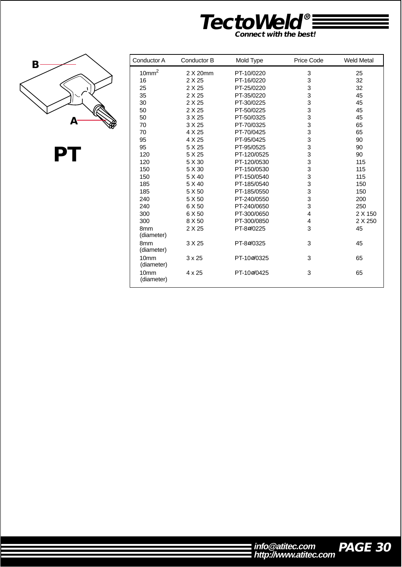![](_page_30_Picture_0.jpeg)

![](_page_30_Picture_1.jpeg)

**PT**

| Conductor A                    | Conductor B   | Mold Type   | Price Code              | <b>Weld Metal</b> |
|--------------------------------|---------------|-------------|-------------------------|-------------------|
| 10mm <sup>2</sup>              | 2 X 20mm      | PT-10/0220  | 3                       | 25                |
| 16                             | 2 X 25        | PT-16/0220  | 3                       | 32                |
| 25                             | 2 X 25        | PT-25/0220  | 3                       | 32                |
| 35                             | 2 X 25        | PT-35/0220  | 3                       | 45                |
| 30                             | 2 X 25        | PT-30/0225  | 3                       | 45                |
| 50                             | 2 X 25        | PT-50/0225  | 3                       | 45                |
| 50                             | 3 X 25        | PT-50/0325  | 3                       | 45                |
| 70                             | 3 X 25        | PT-70/0325  | 3                       | 65                |
| 70                             | 4 X 25        | PT-70/0425  | 3                       | 65                |
| 95                             | 4 X 25        | PT-95/0425  | 3                       | 90                |
| 95                             | 5 X 25        | PT-95/0525  | 3                       | 90                |
| 120                            | 5 X 25        | PT-120/0525 | 3                       | 90                |
| 120                            | 5 X 30        | PT-120/0530 | 3                       | 115               |
| 150                            | 5 X 30        | PT-150/0530 | 3                       | 115               |
| 150                            | 5 X 40        | PT-150/0540 | 3                       | 115               |
| 185                            | 5 X 40        | PT-185/0540 | 3                       | 150               |
| 185                            | 5 X 50        | PT-185/0550 | 3                       | 150               |
| 240                            | 5 X 50        | PT-240/0550 | 3                       | 200               |
| 240                            | 6 X 50        | PT-240/0650 | 3                       | 250               |
| 300                            | 6 X 50        | PT-300/0650 | $\overline{\mathbf{4}}$ | 2 X 150           |
| 300                            | 8 X 50        | PT-300/0850 | 4                       | 2 X 250           |
| 8 <sub>mm</sub><br>(diameter)  | 2 X 25        | PT-80/0225  | 3                       | 45                |
| 8 <sub>mm</sub><br>(diameter)  | 3 X 25        | PT-80/0325  | 3                       | 45                |
| 10 <sub>mm</sub><br>(diameter) | $3 \times 25$ | PT-100/0325 | 3                       | 65                |
| 10 <sub>mm</sub><br>(diameter) | 4 x 25        | PT-100/0425 | 3                       | 65                |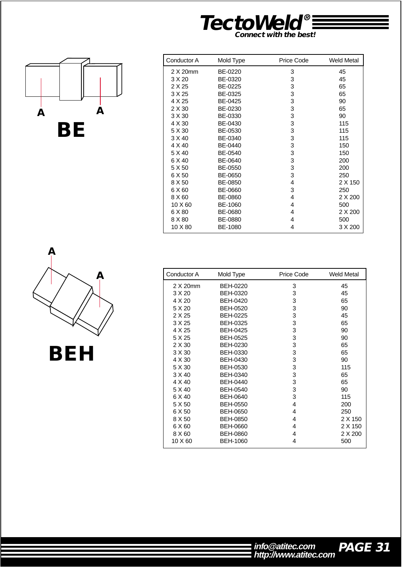![](_page_31_Picture_0.jpeg)

![](_page_31_Figure_1.jpeg)

| Conductor A | Mold Type | Price Code | <b>Weld Metal</b> |
|-------------|-----------|------------|-------------------|
| 2 X 20mm    | BE-0220   | 3          | 45                |
| 3 X 20      | BE-0320   | 3          | 45                |
| 2 X 25      | BE-0225   | 3          | 65                |
| 3 X 25      | BE-0325   | 3          | 65                |
| 4 X 25      | BE-0425   | 3          | 90                |
| 2 X 30      | BE-0230   | 3          | 65                |
| 3 X 30      | BE-0330   | 3          | 90                |
| 4 X 30      | BE-0430   | 3          | 115               |
| 5 X 30      | BE-0530   | 3          | 115               |
| 3 X 40      | BE-0340   | 3          | 115               |
| 4 X 40      | BE-0440   | 3          | 150               |
| 5 X 40      | BE-0540   | 3          | 150               |
| 6 X 40      | BE-0640   | 3          | 200               |
| 5 X 50      | BE-0550   | 3          | 200               |
| 6 X 50      | BE-0650   | 3          | 250               |
| 8 X 50      | BE-0850   | 4          | 2 X 150           |
| 6 X 60      | BE-0660   | 3          | 250               |
| 8 X 60      | BE-0860   | 4          | 2 X 200           |
| 10 X 60     | BE-1060   | 4          | 500               |
| 6 X 80      | BE-0680   | 4          | 2 X 200           |
| 8 X 80      | BE-0880   | 4          | 500               |
| 10 X 80     | BE-1080   | 4          | 3 X 200           |

![](_page_31_Figure_3.jpeg)

| Conductor A | Mold Type       | Price Code | <b>Weld Metal</b> |
|-------------|-----------------|------------|-------------------|
| 2 X 20mm    | <b>BEH-0220</b> | 3          | 45                |
| 3 X 20      | <b>BEH-0320</b> | 3          | 45                |
| 4 X 20      | <b>BEH-0420</b> | 3          | 65                |
| 5 X 20      | <b>BEH-0520</b> | 3          | 90                |
| 2 X 25      | BEH-0225        | 3          | 45                |
| 3 X 25      | <b>BEH-0325</b> | 3          | 65                |
| 4 X 25      | <b>BEH-0425</b> | 3          | 90                |
| 5 X 25      | <b>BEH-0525</b> | 3          | 90                |
| 2 X 30      | <b>BEH-0230</b> | 3          | 65                |
| 3 X 30      | <b>BEH-0330</b> | 3          | 65                |
| 4 X 30      | <b>BEH-0430</b> | 3          | 90                |
| 5 X 30      | <b>BEH-0530</b> | 3          | 115               |
| 3 X 40      | BEH-0340        | 3          | 65                |
| 4 X 40      | <b>BEH-0440</b> | 3          | 65                |
| 5 X 40      | <b>BEH-0540</b> | 3          | 90                |
| 6 X 40      | <b>BEH-0640</b> | 3          | 115               |
| 5 X 50      | <b>BEH-0550</b> | 4          | 200               |
| 6 X 50      | <b>BEH-0650</b> | 4          | 250               |
| 8 X 50      | <b>BEH-0850</b> | 4          | 2 X 150           |
| 6 X 60      | BEH-0660        | 4          | 2 X 150           |
| 8 X 60      | <b>BEH-0860</b> | 4          | 2 X 200           |
| 10 X 60     | <b>BEH-1060</b> | 4          | 500               |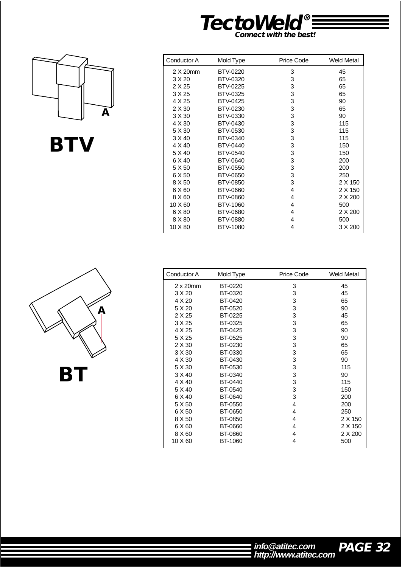![](_page_32_Picture_0.jpeg)

![](_page_32_Picture_1.jpeg)

![](_page_32_Picture_2.jpeg)

| Conductor A | Mold Type       | Price Code | <b>Weld Metal</b> |
|-------------|-----------------|------------|-------------------|
| 2 X 20mm    | BTV-0220        | 3          | 45                |
| 3 X 20      | BTV-0320        | 3          | 65                |
| 2 X 25      | <b>BTV-0225</b> | 3          | 65                |
| 3 X 25      | <b>BTV-0325</b> | 3          | 65                |
| 4 X 25      | <b>BTV-0425</b> | 3          | 90                |
| 2 X 30      | BTV-0230        | 3          | 65                |
| 3 X 30      | <b>BTV-0330</b> | 3          | 90                |
| 4 X 30      | <b>BTV-0430</b> | 3          | 115               |
| 5 X 30      | <b>BTV-0530</b> | 3          | 115               |
| 3 X 40      | BTV-0340        | 3          | 115               |
| 4 X 40      | <b>BTV-0440</b> | 3          | 150               |
| 5 X 40      | <b>BTV-0540</b> | 3          | 150               |
| 6 X 40      | <b>BTV-0640</b> | 3          | 200               |
| 5 X 50      | <b>BTV-0550</b> | 3          | 200               |
| 6 X 50      | <b>BTV-0650</b> | 3          | 250               |
| 8 X 50      | <b>BTV-0850</b> | 3          | 2 X 150           |
| 6 X 60      | <b>BTV-0660</b> | 4          | 2 X 150           |
| 8 X 60      | <b>BTV-0860</b> | 4          | 2 X 200           |
| 10 X 60     | BTV-1060        | 4          | 500               |
| 6 X 80      | <b>BTV-0680</b> | 4          | 2 X 200           |
| 8 X 80      | <b>BTV-0880</b> | 4          | 500               |
| 10 X 80     | <b>BTV-1080</b> | 4          | 3 X 200           |

| Conductor A      | Mold Type      | Price Code | <b>Weld Metal</b> |
|------------------|----------------|------------|-------------------|
| $2 \times 20$ mm | BT-0220        | 3          | 45                |
| 3 X 20           | BT-0320        | 3          | 45                |
| 4 X 20           | BT-0420        | 3          | 65                |
| 5 X 20           | BT-0520        | 3          | 90                |
| 2 X 25           | BT-0225        | 3          | 45                |
| 3 X 25           | BT-0325        | 3          | 65                |
| 4 X 25           | BT-0425        | 3          | 90                |
| 5 X 25           | BT-0525        | 3          | 90                |
| 2 X 30           | BT-0230        | 3          | 65                |
| 3 X 30           | BT-0330        | 3          | 65                |
| 4 X 30           | BT-0430        | 3          | 90                |
| 5 X 30           | BT-0530        | 3          | 115               |
| 3 X 40           | BT-0340        | 3          | 90                |
| 4 X 40           | <b>BT-0440</b> | 3          | 115               |
| 5 X 40           | BT-0540        | 3          | 150               |
| 6 X 40           | BT-0640        | 3          | 200               |
| 5 X 50           | BT-0550        | 4          | 200               |
| 6 X 50           | BT-0650        | 4          | 250               |
| 8 X 50           | BT-0850        | 4          | 2 X 150           |
| 6 X 60           | BT-0660        | 4          | 2 X 150           |
| 8 X 60           | BT-0860        | 4          | 2 X 200           |
| 10 X 60          | BT-1060        | 4          | 500               |

![](_page_32_Picture_5.jpeg)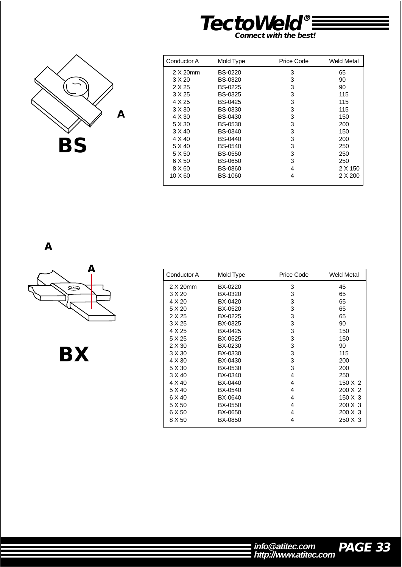![](_page_33_Picture_0.jpeg)

![](_page_33_Picture_1.jpeg)

| Conductor A | Mold Type      | Price Code | Weld Metal |
|-------------|----------------|------------|------------|
| 2 X 20mm    | <b>BS-0220</b> | 3          | 65         |
| 3 X 20      | BS-0320        | 3          | 90         |
| 2 X 25      | <b>BS-0225</b> | 3          | 90         |
| 3 X 25      | <b>BS-0325</b> | 3          | 115        |
| 4 X 25      | <b>BS-0425</b> | 3          | 115        |
| 3 X 30      | <b>BS-0330</b> | 3          | 115        |
| 4 X 30      | <b>BS-0430</b> | 3          | 150        |
| 5 X 30      | <b>BS-0530</b> | 3          | 200        |
| 3 X 40      | <b>BS-0340</b> | 3          | 150        |
| 4 X 40      | <b>BS-0440</b> | 3          | 200        |
| 5 X 40      | <b>BS-0540</b> | 3          | 250        |
| 5 X 50      | <b>BS-0550</b> | 3          | 250        |
| 6 X 50      | <b>BS-0650</b> | 3          | 250        |
| 8 X 60      | <b>BS-0860</b> | 4          | 2 X 150    |
| 10 X 60     | <b>BS-1060</b> | 4          | 2 X 200    |

![](_page_33_Picture_3.jpeg)

**BX**

| Conductor A | Mold Type | Price Code | Weld Metal     |
|-------------|-----------|------------|----------------|
| 2 X 20mm    | BX-0220   | 3          | 45             |
| 3 X 20      | BX-0320   | 3          | 65             |
| 4 X 20      | BX-0420   | 3          | 65             |
| 5 X 20      | BX-0520   | 3          | 65             |
| 2 X 25      | BX-0225   | 3          | 65             |
| 3 X 25      | BX-0325   | 3          | 90             |
| 4 X 25      | BX-0425   | 3          | 150            |
| 5 X 25      | BX-0525   | 3          | 150            |
| 2 X 30      | BX-0230   | 3          | 90             |
| 3 X 30      | BX-0330   | 3          | 115            |
| 4 X 30      | BX-0430   | 3          | 200            |
| 5 X 30      | BX-0530   | 3          | 200            |
| 3 X 40      | BX-0340   | 4          | 250            |
| 4 X 40      | BX-0440   | 4          | $150 \times 2$ |
| 5 X 40      | BX-0540   | 4          | 200 X 2        |
| 6 X 40      | BX-0640   | 4          | $150 \times 3$ |
| 5 X 50      | BX-0550   | 4          | $200 \times 3$ |
| 6 X 50      | BX-0650   | 4          | 200 X 3        |
| 8 X 50      | BX-0850   | 4          | 250 X 3        |

![](_page_33_Picture_7.jpeg)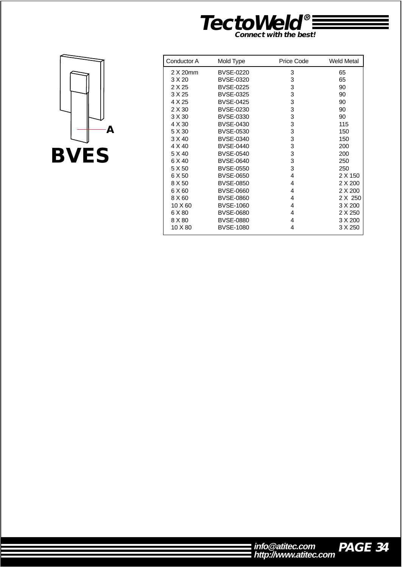![](_page_34_Picture_0.jpeg)

![](_page_34_Picture_1.jpeg)

| Conductor A | Mold Type        | Price Code | <b>Weld Metal</b> |
|-------------|------------------|------------|-------------------|
| 2 X 20mm    | <b>BVSE-0220</b> | 3          | 65                |
| 3 X 20      | <b>BVSE-0320</b> | 3          | 65                |
| 2 X 25      | <b>BVSE-0225</b> | 3          | 90                |
| 3 X 25      | <b>BVSE-0325</b> | 3          | 90                |
| 4 X 25      | <b>BVSE-0425</b> | 3          | 90                |
| 2 X 30      | <b>BVSE-0230</b> | 3          | 90                |
| 3 X 30      | <b>BVSE-0330</b> | 3          | 90                |
| 4 X 30      | <b>BVSE-0430</b> | 3          | 115               |
| 5 X 30      | <b>BVSE-0530</b> | 3          | 150               |
| 3 X 40      | <b>BVSE-0340</b> | 3          | 150               |
| 4 X 40      | <b>BVSE-0440</b> | 3          | 200               |
| 5 X 40      | <b>BVSE-0540</b> | 3          | 200               |
| 6 X 40      | <b>BVSE-0640</b> | 3          | 250               |
| 5 X 50      | <b>BVSE-0550</b> | 3          | 250               |
| 6 X 50      | <b>BVSE-0650</b> | 4          | 2 X 150           |
| 8 X 50      | <b>BVSE-0850</b> | 4          | 2 X 200           |
| 6 X 60      | <b>BVSE-0660</b> | 4          | 2 X 200           |
| 8 X 60      | <b>BVSE-0860</b> | 4          | 2 X 250           |
| 10 X 60     | <b>BVSE-1060</b> | 4          | 3 X 200           |
| 6 X 80      | <b>BVSE-0680</b> | 4          | 2 X 250           |
| 8 X 80      | <b>BVSE-0880</b> | 4          | 3 X 200           |
| 10 X 80     | <b>BVSE-1080</b> | 4          | 3 X 250           |
|             |                  |            |                   |

| info@atitec.com       | PAGE 34 |
|-----------------------|---------|
| http://www.atitec.com |         |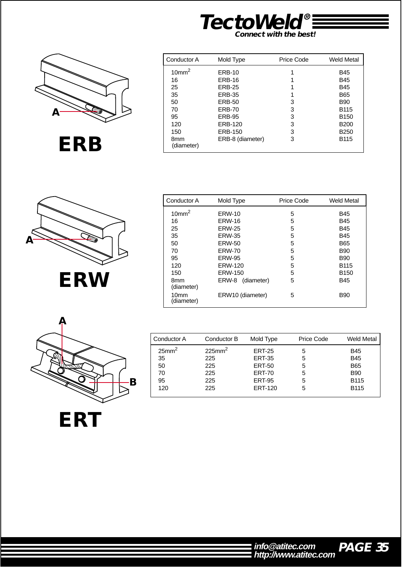![](_page_35_Picture_0.jpeg)

![](_page_35_Picture_1.jpeg)

**ERB**

| Conductor A       | Mold Type        | Price Code | Weld Metal       |
|-------------------|------------------|------------|------------------|
| 10mm <sup>2</sup> | <b>ERB-10</b>    | 1          | B45              |
| 16                | <b>ERB-16</b>    |            | B45              |
| 25                | <b>ERB-25</b>    |            | B45              |
| 35                | <b>ERB-35</b>    |            | B65              |
| 50                | <b>ERB-50</b>    | 3          | B90              |
| 70                | <b>ERB-70</b>    | 3          | B115             |
| 95                | <b>ERB-95</b>    | 3          | B <sub>150</sub> |
| 120               | ERB-120          | 3          | <b>B200</b>      |
| 150               | <b>ERB-150</b>   | 3          | <b>B250</b>      |
| 8mm<br>(diameter) | ERB-8 (diameter) | 3          | B115             |

![](_page_35_Picture_3.jpeg)

| Conductor A<br>Mold Type       |                     | Price Code | <b>Weld Metal</b> |
|--------------------------------|---------------------|------------|-------------------|
| 10mm <sup>2</sup>              | <b>ERW-10</b>       | 5          | <b>B45</b>        |
| 16                             | <b>ERW-16</b>       | 5          | B45               |
| 25                             | <b>ERW-25</b>       | 5          | <b>B45</b>        |
| 35                             | <b>ERW-35</b>       | 5          | B45               |
| 50                             | <b>ERW-50</b>       | 5          | <b>B65</b>        |
| 70                             | <b>ERW-70</b>       | 5          | <b>B90</b>        |
| 95                             | <b>ERW-95</b>       | 5          | <b>B90</b>        |
| 120                            | ERW-120             | 5          | <b>B115</b>       |
| 150                            | <b>ERW-150</b>      | 5          | B <sub>150</sub>  |
| 8mm<br>(diameter)              | ERW-8<br>(diameter) | 5          | <b>B45</b>        |
| 10 <sub>mm</sub><br>(diameter) | ERW10 (diameter)    | 5          | <b>B90</b>        |

![](_page_35_Picture_5.jpeg)

Conductor A Conductor B Mold Type Price Code Weld Metal 25mm2  $225$ mm<sup>2</sup> ERT-25 5 B45<br>ERT-35 5 B45 35 225 ERT-35 5 B45<br>50 225 ERT-50 5 B65 50 225 ERT-50 5 B65 70 225 ERT-70 5 B90 ERT-95 120 225 ERT-120 5 B115

![](_page_35_Picture_7.jpeg)

**PAGE 35 http://www.atitec.com info@atitec.com**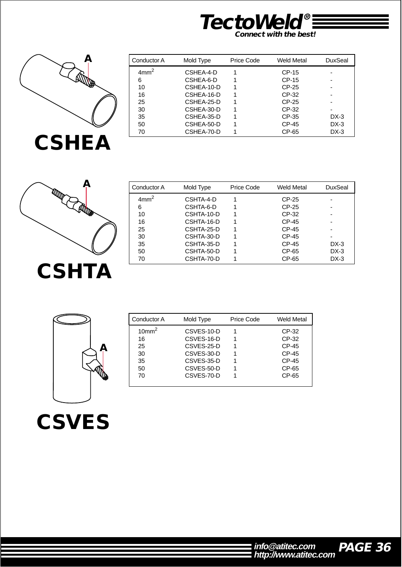![](_page_36_Picture_0.jpeg)

![](_page_36_Picture_1.jpeg)

| Conductor A      | Mold Type  | Price Code | Weld Metal | DuxSeal |
|------------------|------------|------------|------------|---------|
| 4mm <sup>2</sup> | CSHEA-4-D  |            | CP-15      |         |
| 6                | CSHEA-6-D  |            | CP-15      |         |
| 10               | CSHEA-10-D |            | CP-25      |         |
| 16               | CSHEA-16-D |            | CP-32      |         |
| 25               | CSHEA-25-D |            | CP-25      |         |
| 30               | CSHEA-30-D |            | CP-32      |         |
| 35               | CSHEA-35-D |            | CP-35      | DX-3    |
| 50               | CSHEA-50-D |            | CP-45      | $DX-3$  |
| 70               | CSHEA-70-D |            | CP-65      | $DX-3$  |

![](_page_36_Picture_3.jpeg)

| Conductor A      | Mold Type  | Price Code | Weld Metal | DuxSeal |
|------------------|------------|------------|------------|---------|
| 4mm <sup>2</sup> | CSHTA-4-D  |            | CP-25      |         |
| 6                | CSHTA-6-D  |            | CP-25      |         |
| 10               | CSHTA-10-D |            | CP-32      |         |
| 16               | CSHTA-16-D |            | CP-45      |         |
| 25               | CSHTA-25-D |            | CP-45      |         |
| 30               | CSHTA-30-D |            | CP-45      |         |
| 35               | CSHTA-35-D |            | CP-45      | DX-3    |
| 50               | CSHTA-50-D |            | CP-65      | $DX-3$  |
| 70               | CSHTA-70-D |            | CP-65      | $DX-3$  |

![](_page_36_Picture_5.jpeg)

| Conductor A       | Mold Type  | <b>Price Code</b> | <b>Weld Metal</b> |
|-------------------|------------|-------------------|-------------------|
| 10mm <sup>2</sup> | CSVES-10-D |                   | CP-32             |
| 16                | CSVES-16-D | 1                 | CP-32             |
| 25                | CSVES-25-D |                   | CP-45             |
| 30                | CSVES-30-D | 1                 | CP-45             |
| 35                | CSVES-35-D | 1                 | CP-45             |
| 50                | CSVES-50-D |                   | CP-65             |
| 70                | CSVES-70-D |                   | $CP-65$           |
|                   |            |                   |                   |

![](_page_36_Picture_7.jpeg)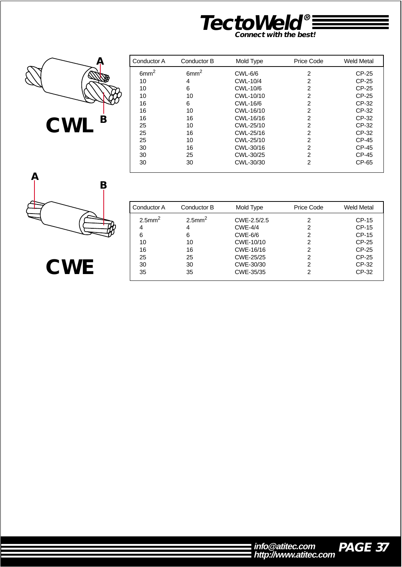![](_page_37_Picture_0.jpeg)

![](_page_37_Picture_1.jpeg)

| Conductor A      | Conductor B      | Mold Type      | Price Code     | <b>Weld Metal</b> |
|------------------|------------------|----------------|----------------|-------------------|
| 6mm <sup>2</sup> | 6mm <sup>2</sup> | <b>CWL-6/6</b> | 2              | CP-25             |
| 10               | 4                | CWL-10/4       | 2              | CP-25             |
| 10               | 6                | CWL-10/6       | 2              | CP-25             |
| 10               | 10               | CWL-10/10      | 2              | CP-25             |
| 16               | 6                | CWL-16/6       | 2              | CP-32             |
| 16               | 10               | CWL-16/10      | 2              | CP-32             |
| 16               | 16               | CWL-16/16      | 2              | CP-32             |
| 25               | 10               | CWL-25/10      | 2              | CP-32             |
| 25               | 16               | CWL-25/16      | 2              | CP-32             |
| 25               | 10               | CWL-25/10      | $\overline{2}$ | CP-45             |
| 30               | 16               | CWL-30/16      | 2              | CP-45             |
| 30               | 25               | CWL-30/25      | 2              | CP-45             |
| 30               | 30               | CWL-30/30      | 2              | CP-65             |

![](_page_37_Picture_3.jpeg)

**CWE**

| Conductor A           | Conductor B   | Mold Type      | Price Code | Weld Metal |
|-----------------------|---------------|----------------|------------|------------|
| $2.5$ mm <sup>2</sup> | $2.5$ mm $^2$ | CWE-2.5/2.5    | 2          | $CP-15$    |
| 4                     | 4             | <b>CWE-4/4</b> | 2          | $CP-15$    |
| 6                     | 6             | <b>CWE-6/6</b> | 2          | $CP-15$    |
| 10                    | 10            | CWE-10/10      | 2          | $CP-25$    |
| 16                    | 16            | CWE-16/16      | 2          | $CP-25$    |
| 25                    | 25            | CWE-25/25      | 2          | CP-25      |
| 30                    | 30            | CWE-30/30      | 2          | CP-32      |
| 35                    | 35            | CWE-35/35      |            | CP-32      |

| info@atitec.com       | <b>PA</b> |
|-----------------------|-----------|
| http://www.atitec.com |           |

![](_page_37_Picture_6.jpeg)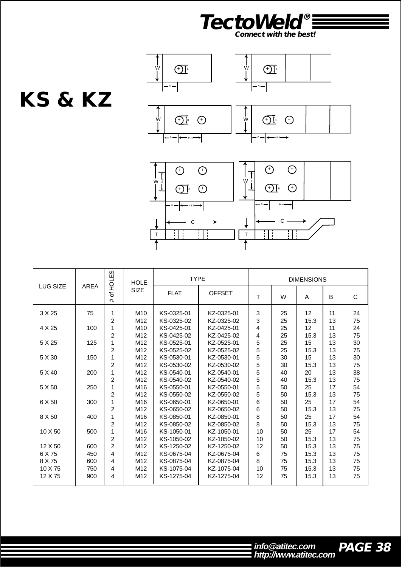![](_page_38_Picture_0.jpeg)

![](_page_38_Figure_1.jpeg)

![](_page_38_Figure_2.jpeg)

![](_page_38_Figure_3.jpeg)

|                 |             | <b>HOLES</b>   | <b>HOLE</b>     | <b>TYPE</b> |               | <b>DIMENSIONS</b> |    |      |    |    |
|-----------------|-------------|----------------|-----------------|-------------|---------------|-------------------|----|------|----|----|
| <b>LUG SIZE</b> | <b>AREA</b> | ৳<br>#         | <b>SIZE</b>     | <b>FLAT</b> | <b>OFFSET</b> | Т                 | W  | A    | B  | C  |
| 3 X 25          | 75          | 1              | M10             | KS-0325-01  | KZ-0325-01    | 3                 | 25 | 12   | 11 | 24 |
|                 |             | 2              | M <sub>12</sub> | KS-0325-02  | KZ-0325-02    | 3                 | 25 | 15.3 | 13 | 75 |
| 4 X 25          | 100         |                | M <sub>10</sub> | KS-0425-01  | KZ-0425-01    | 4                 | 25 | 12   | 11 | 24 |
|                 |             | 2              | M12             | KS-0425-02  | KZ-0425-02    | 4                 | 25 | 15.3 | 13 | 75 |
| 5 X 25          | 125         |                | M12             | KS-0525-01  | KZ-0525-01    | 5                 | 25 | 15   | 13 | 30 |
|                 |             | $\overline{c}$ | M <sub>12</sub> | KS-0525-02  | KZ-0525-02    | 5                 | 25 | 15.3 | 13 | 75 |
| 5 X 30          | 150         | 1              | M <sub>12</sub> | KS-0530-01  | KZ-0530-01    | 5                 | 30 | 15   | 13 | 30 |
|                 |             | $\overline{2}$ | M <sub>12</sub> | KS-0530-02  | KZ-0530-02    | 5                 | 30 | 15.3 | 13 | 75 |
| 5 X 40          | 200         | 1              | M12             | KS-0540-01  | KZ-0540-01    | 5                 | 40 | 20   | 13 | 38 |
|                 |             | $\overline{2}$ | M <sub>12</sub> | KS-0540-02  | KZ-0540-02    | 5                 | 40 | 15.3 | 13 | 75 |
| 5 X 50          | 250         |                | M16             | KS-0550-01  | KZ-0550-01    | 5                 | 50 | 25   | 17 | 54 |
|                 |             | $\overline{2}$ | M12             | KS-0550-02  | KZ-0550-02    | 5                 | 50 | 15.3 | 13 | 75 |
| 6 X 50          | 300         | 1              | M16             | KS-0650-01  | KZ-0650-01    | 6                 | 50 | 25   | 17 | 54 |
|                 |             | $\overline{c}$ | M12             | KS-0650-02  | KZ-0650-02    | 6                 | 50 | 15.3 | 13 | 75 |
| 8 X 50          | 400         |                | M16             | KS-0850-01  | KZ-0850-01    | 8                 | 50 | 25   | 17 | 54 |
|                 |             | 2              | M12             | KS-0850-02  | KZ-0850-02    | 8                 | 50 | 15.3 | 13 | 75 |
| 10 X 50         | 500         | 1              | M16             | KS-1050-01  | KZ-1050-01    | 10                | 50 | 25   | 17 | 54 |
|                 |             | $\overline{c}$ | M12             | KS-1050-02  | KZ-1050-02    | 10                | 50 | 15.3 | 13 | 75 |
| 12 X 50         | 600         | $\mathcal{P}$  | M <sub>12</sub> | KS-1250-02  | KZ-1250-02    | 12                | 50 | 15.3 | 13 | 75 |
| 6 X 75          | 450         | 4              | M12             | KS-0675-04  | KZ-0675-04    | 6                 | 75 | 15.3 | 13 | 75 |
| 8 X 75          | 600         | 4              | M <sub>12</sub> | KS-0875-04  | KZ-0875-04    | 8                 | 75 | 15.3 | 13 | 75 |
| 10 X 75         | 750         | 4              | M <sub>12</sub> | KS-1075-04  | KZ-1075-04    | 10                | 75 | 15.3 | 13 | 75 |
| 12 X 75         | 900         | 4              | M <sub>12</sub> | KS-1275-04  | KZ-1275-04    | 12                | 75 | 15.3 | 13 | 75 |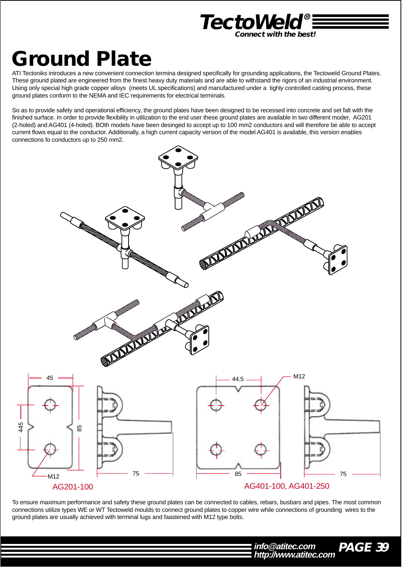![](_page_39_Picture_0.jpeg)

# **Ground Plate**

ATI Tectoniks introduces a new convenient connection termina designed specifically for grounding applications, the Tectoweld Ground Plates. These ground plated are engineered from the finest heavy duty materials and are able to withstand the rigors of an industrial environment. Using only special high grade copper alloys (meets UL specifications) and manufactured under a tighly controlled casting process, these ground plates conform to the NEMA and IEC requirements for electrical terminals.

So as to provide safety and operational efficiency, the ground plates have been designed to be recessed into concrete and set falt with the finished surface. In order to provide flexibility in utilization to the end user these ground plates are available in two different moder, AG201 (2-holed) and AG401 (4-holed). BOth models have been desinged to accept up to 100 mm2 conductors and will therefore be able to accept current flows equal to the conductor. Additionally, a high current capacity version of the model AG401 is available, this version enables connections fo conductors up to 250 mm2.

![](_page_39_Figure_4.jpeg)

To ensure maximum performance and safety these ground plates can be connected to cables, rebars, busbars and pipes. The most common connections utilize types WE or WT Tectoweld moulds to connect ground plates to copper wire while connections of grounding wires to the ground plates are usually achieved with terminal lugs and faastened with M12 type bolts.

> **PAGE 39 http://www.atitec.com info@atitec.com**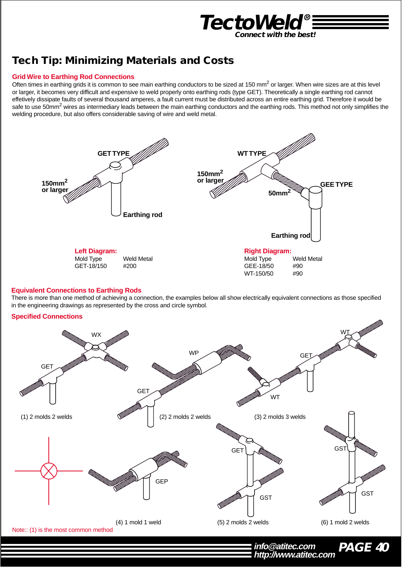![](_page_40_Picture_0.jpeg)

# **Tech Tip: Minimizing Materials and Costs**

#### **Grid Wire to Earthing Rod Connections**

Often times in earthing grids it is common to see main earthing conductors to be sized at 150 mm<sup>2</sup> or larger. When wire sizes are at this level or larger, it becomes very difficult and expensive to weld properly onto earthing rods (type GET). Theoretically a single earthing rod cannot effetively dissipate faults of several thousand amperes, a fault current must be distributed across an entire earthing grid. Therefore it would be safe to use 50mm<sup>2</sup> wires as intermediary leads between the main earthing conductors and the earthing rods. This method not only simplifies the welding procedure, but also offers considerable saving of wire and weld metal.

![](_page_40_Figure_4.jpeg)

#### **Equivalent Connections to Earthing Rods**

There is more than one method of achieving a connection, the examples below all show electrically equivalent connections as those specified in the engineering drawings as represented by the cross and circle symbol.

#### **Specified Connections**

![](_page_40_Figure_8.jpeg)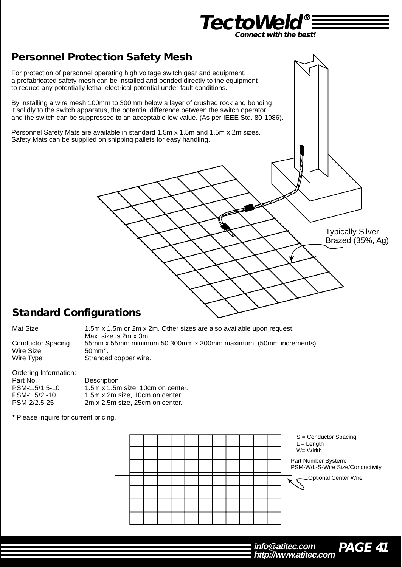![](_page_41_Picture_0.jpeg)

## **Personnel Protection Safety Mesh**

For protection of personnel operating high voltage switch gear and equipment, a prefabricated safety mesh can be installed and bonded directly to the equipment to reduce any potentially lethal electrical potential under fault conditions.

By installing a wire mesh 100mm to 300mm below a layer of crushed rock and bonding it solidly to the switch apparatus, the potential difference between the switch operator and the switch can be suppressed to an acceptable low value. (As per IEEE Std. 80-1986).

Personnel Safety Mats are available in standard 1.5m x 1.5m and 1.5m x 2m sizes. Safety Mats can be supplied on shipping pallets for easy handling.

### **Standard Configurations**

| Mat Size                 | 1.5m x 1.5m or 2m x 2m. Other sizes are also available upon request.<br>Max. size is 2m x 3m. |
|--------------------------|-----------------------------------------------------------------------------------------------|
| <b>Conductor Spacing</b> | 55mm x 55mm minimum 50 300mm x 300mm maximum. (50mm increments).                              |
| Wire Size                | $50mm2$ .                                                                                     |
| Wire Type                | Stranded copper wire.                                                                         |

| Ordering Information: |                                   |
|-----------------------|-----------------------------------|
| Part No.              | Description                       |
| PSM-1.5/1.5-10        | 1.5m x 1.5m size, 10cm on center. |
| PSM-1.5/2.-10         | 1.5m x 2m size, 10cm on center.   |
| PSM-2/2.5-25          | 2m x 2.5m size, 25cm on center.   |
|                       |                                   |

\* Please inquire for current pricing.

S = Conductor Spacing  $L =$  Length W= Width Optional Center Wire Part Number System: PSM-W/L-S-Wire Size/Conductivity

![](_page_41_Picture_11.jpeg)

Typically Silver Brazed (35%, Ag)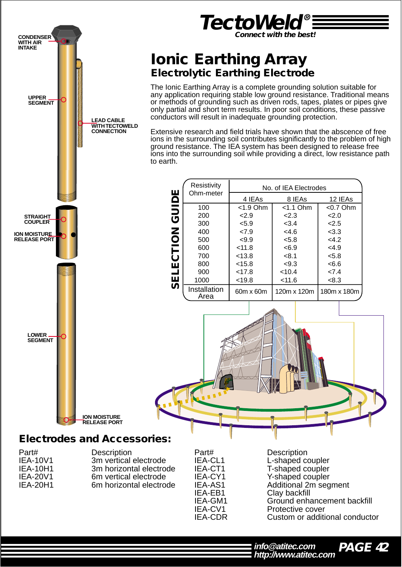![](_page_42_Picture_0.jpeg)

Clay backfill IEA-GM1 Ground enhancement backfill IEA-CV1 Protective cover IEA-CDR Custom or additional conductor

![](_page_42_Picture_3.jpeg)